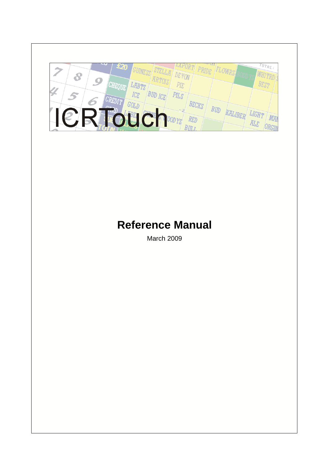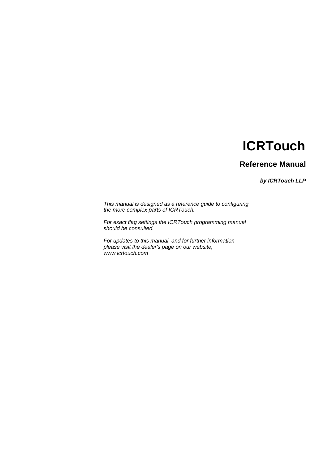# **ICRTouch**

**Reference Manual**

*by ICRTouch LLP*

*This manual is designed as a reference guide to configuring the more complex parts of ICRTouch.* 

*For exact flag settings the ICRTouch programming manual should be consulted.*

*For updates to this manual, and for further information please visit the dealer's page on our website, www.icrtouch.com*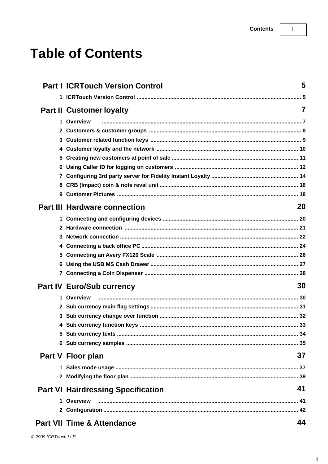$\mathbf{I}$ 

# **Table of Contents**

|              | <b>Part I ICRTouch Version Control</b>    | 5              |
|--------------|-------------------------------------------|----------------|
|              |                                           |                |
|              | <b>Part II Customer loyalty</b>           | $\overline{7}$ |
|              | 1 Overview                                |                |
|              |                                           |                |
|              |                                           |                |
|              |                                           |                |
| 5.           |                                           |                |
| 6            |                                           |                |
| 7            |                                           |                |
|              |                                           |                |
| 9            |                                           |                |
|              | <b>Part III Hardware connection</b>       | 20             |
|              |                                           |                |
| $\mathbf{2}$ |                                           |                |
| 3            |                                           |                |
| 4            |                                           |                |
| 5            |                                           |                |
| 6            |                                           |                |
|              |                                           |                |
|              | <b>Part IV Euro/Sub currency</b>          | 30             |
|              | 1 Overview                                |                |
|              |                                           |                |
| 3.           |                                           |                |
|              |                                           |                |
|              |                                           |                |
|              |                                           |                |
|              | Part V Floor plan                         | 37             |
|              |                                           |                |
|              |                                           |                |
|              | <b>Part VI Hairdressing Specification</b> | 41             |
|              | 1 Overview                                |                |
|              |                                           |                |
|              | <b>Part VII Time &amp; Attendance</b>     | 44             |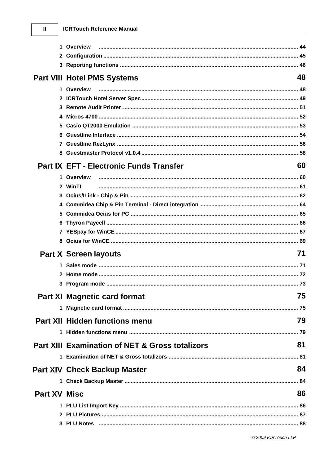### **ICRTouch Reference Manual**

 $\mathbf{I}$ 

|                     | 1 Overview                                      |    |
|---------------------|-------------------------------------------------|----|
|                     |                                                 |    |
|                     |                                                 |    |
|                     | <b>Part VIII Hotel PMS Systems</b>              | 48 |
|                     | 1 Overview                                      |    |
|                     |                                                 |    |
| 3                   |                                                 |    |
|                     |                                                 |    |
| 5                   |                                                 |    |
| 6                   |                                                 |    |
|                     |                                                 |    |
|                     |                                                 |    |
|                     | Part IX EFT - Electronic Funds Transfer         | 60 |
|                     | 1 Overview                                      |    |
|                     | 2 WinTI                                         |    |
|                     |                                                 |    |
|                     |                                                 |    |
| 5                   |                                                 |    |
|                     |                                                 |    |
|                     |                                                 |    |
| 8                   |                                                 |    |
|                     | <b>Part X Screen layouts</b>                    | 71 |
|                     |                                                 |    |
|                     |                                                 |    |
|                     |                                                 |    |
|                     | <b>Part XI Magnetic card format</b>             | 75 |
|                     |                                                 |    |
|                     | Part XII Hidden functions menu                  | 79 |
|                     |                                                 |    |
|                     | Part XIII Examination of NET & Gross totalizors | 81 |
|                     |                                                 |    |
|                     | <b>Part XIV Check Backup Master</b>             | 84 |
|                     |                                                 |    |
| <b>Part XV Misc</b> |                                                 | 86 |
|                     |                                                 |    |
|                     |                                                 |    |
|                     |                                                 |    |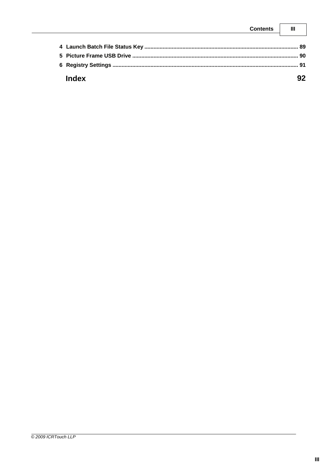| Contents |           |
|----------|-----------|
|          | .RQ       |
|          | ്യറ       |
|          | <b>Q1</b> |
| undex    |           |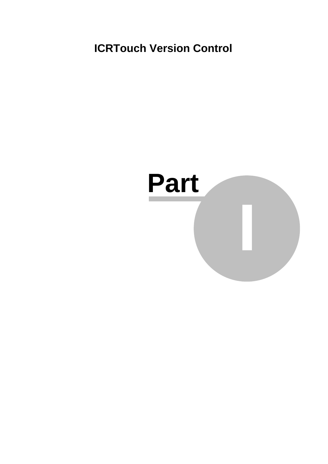**ICRTouch Version Control**

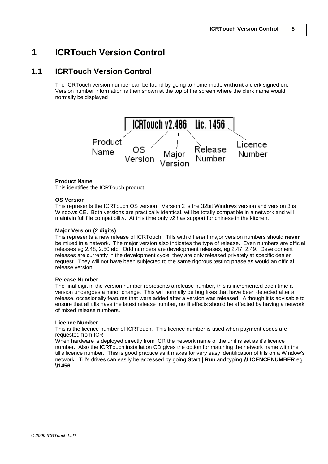# **1 ICRTouch Version Control**

# **1.1 ICRTouch Version Control**

The ICRTouch version number can be found by going to home mode **without** a clerk signed on. Version number information is then shown at the top of the screen where the clerk name would normally be displayed



#### **Product Name**

This identifies the ICRTouch product

#### **OS Version**

This represents the ICRTouch OS version. Version 2 is the 32bit Windows version and version 3 is Windows CE. Both versions are practically identical, will be totally compatible in a network and will maintain full file compatibility. At this time only v2 has support for chinese in the kitchen.

#### **Major Version (2 digits)**

This represents a new release of ICRTouch. Tills with different major version numbers should **never** be mixed in a network. The major version also indicates the type of release. Even numbers are official releases eg 2.48, 2.50 etc. Odd numbers are development releases, eg 2.47, 2.49. Development releases are currently in the development cycle, they are only released privately at specific dealer request. They will not have been subjected to the same rigorous testing phase as would an official release version.

#### **Release Number**

The final digit in the version number represents a release number, this is incremented each time a version undergoes a minor change. This will normally be bug fixes that have been detected after a release, occasionally features that were added after a version was released. Although it is advisable to ensure that all tills have the latest release number, no ill effects should be affected by having a network of mixed release numbers.

#### **Licence Number**

This is the licence number of ICRTouch. This licence number is used when payment codes are requested from ICR.

When hardware is deployed directly from ICR the network name of the unit is set as it's licence number. Also the ICRTouch installation CD gives the option for matching the network name with the till's licence number. This is good practice as it makes for very easy identification of tills on a Window's network. Till's drives can easily be accessed by going **Start | Run** and typing **\\LICENCENUMBER** eg **\\1456**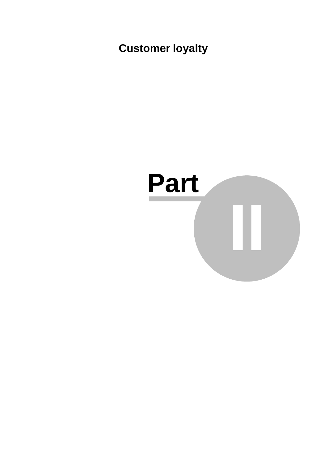**Customer loyalty**

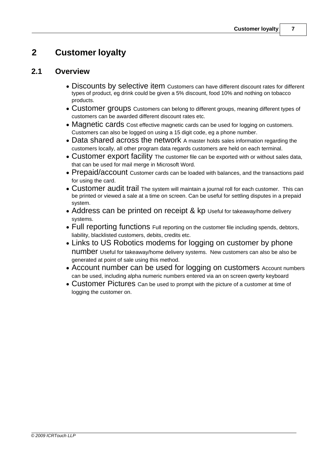# **2 Customer loyalty**

# **2.1 Overview**

- Discounts by selective item Customers can have different discount rates for different types of product, eg drink could be given a 5% discount, food 10% and nothing on tobacco products.
- · Customer groups Customers can belong to different groups, meaning different types of customers can be awarded different discount rates etc.
- Magnetic cards Cost effective magnetic cards can be used for logging on customers. Customers can also be logged on using a 15 digit code, eg a phone number.
- · Data shared across the network A master holds sales information regarding the customers locally, all other program data regards customers are held on each terminal.
- · Customer export facility The customer file can be exported with or without sales data, that can be used for mail merge in Microsoft Word.
- Prepaid/account Customer cards can be loaded with balances, and the transactions paid for using the card.
- · Customer audit trail The system will maintain a journal roll for each customer. This can be printed or viewed a sale at a time on screen. Can be useful for settling disputes in a prepaid system.
- Address can be printed on receipt & kp Useful for takeaway/home delivery systems.
- · Full reporting functions Full reporting on the customer file including spends, debtors, liability, blacklisted customers, debits, credits etc.
- Links to US Robotics modems for logging on customer by phone number Useful for takeaway/home delivery systems. New customers can also be also be generated at point of sale using this method.
- Account number can be used for logging on customers Account numbers can be used, including alpha numeric numbers entered via an on screen qwerty keyboard
- · Customer Pictures Can be used to prompt with the picture of a customer at time of logging the customer on.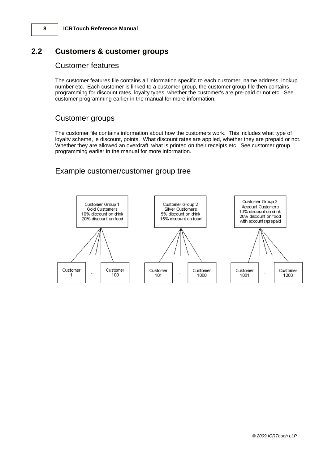# **2.2 Customers & customer groups**

# Customer features

The customer features file contains all information specific to each customer, name address, lookup number etc. Each customer is linked to a customer group, the customer group file then contains programming for discount rates, loyalty types, whether the customer's are pre-paid or not etc. See customer programming earlier in the manual for more information.

# Customer groups

The customer file contains information about how the customers work. This includes what type of loyalty scheme, ie discount, points. What discount rates are applied, whether they are prepaid or not. Whether they are allowed an overdraft, what is printed on their receipts etc. See customer group programming earlier in the manual for more information.

# Example customer/customer group tree

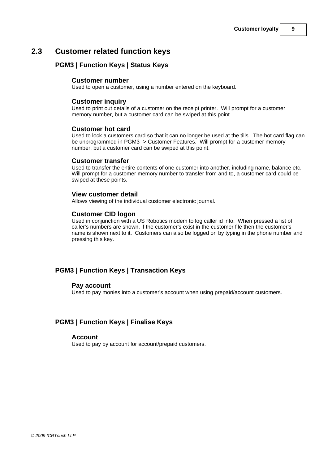# **2.3 Customer related function keys**

# **PGM3 | Function Keys | Status Keys**

### **Customer number**

Used to open a customer, using a number entered on the keyboard.

### **Customer inquiry**

Used to print out details of a customer on the receipt printer. Will prompt for a customer memory number, but a customer card can be swiped at this point.

### **Customer hot card**

Used to lock a customers card so that it can no longer be used at the tills. The hot card flag can be unprogrammed in PGM3 -> Customer Features. Will prompt for a customer memory number, but a customer card can be swiped at this point.

### **Customer transfer**

Used to transfer the entire contents of one customer into another, including name, balance etc. Will prompt for a customer memory number to transfer from and to, a customer card could be swiped at these points.

### **View customer detail**

Allows viewing of the individual customer electronic journal.

### **Customer CID logon**

Used in conjunction with a US Robotics modem to log caller id info. When pressed a list of caller's numbers are shown, if the customer's exist in the customer file then the customer's name is shown next to it. Customers can also be logged on by typing in the phone number and pressing this key.

# **PGM3 | Function Keys | Transaction Keys**

#### **Pay account**

Used to pay monies into a customer's account when using prepaid/account customers.

# **PGM3 | Function Keys | Finalise Keys**

#### **Account**

Used to pay by account for account/prepaid customers.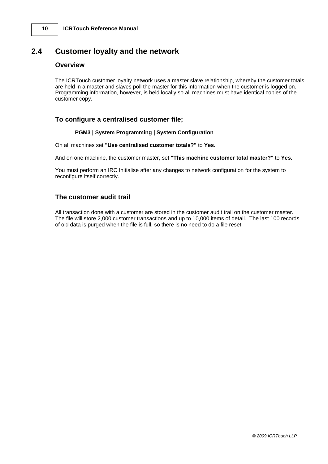# **2.4 Customer loyalty and the network**

### **Overview**

The ICRTouch customer loyalty network uses a master slave relationship, whereby the customer totals are held in a master and slaves poll the master for this information when the customer is logged on. Programming information, however, is held locally so all machines must have identical copies of the customer copy.

### **To configure a centralised customer file;**

#### **PGM3 | System Programming | System Configuration**

On all machines set **"Use centralised customer totals?"** to **Yes.**

And on one machine, the customer master, set **"This machine customer total master?"** to **Yes.**

You must perform an IRC Initialise after any changes to network configuration for the system to reconfigure itself correctly.

### **The customer audit trail**

All transaction done with a customer are stored in the customer audit trail on the customer master. The file will store 2,000 customer transactions and up to 10,000 items of detail. The last 100 records of old data is purged when the file is full, so there is no need to do a file reset.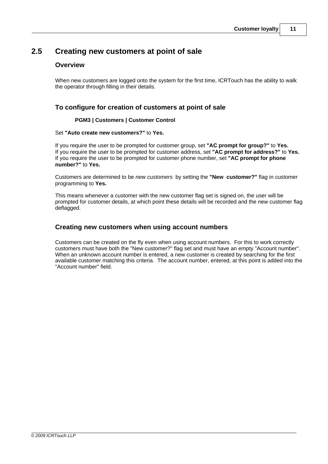# **2.5 Creating new customers at point of sale**

### **Overview**

When new customers are logged onto the system for the first time, ICRTouch has the ability to walk the operator through filling in their details.

# **To configure for creation of customers at point of sale**

### **PGM3 | Customers | Customer Control**

#### Set **"Auto create new customers?"** to **Yes.**

If you require the user to be prompted for customer group, set **"AC prompt for group?"** to **Yes.** If you require the user to be prompted for customer address, set **"AC prompt for address?"** to **Yes.** If you require the user to be prompted for customer phone number, set **"AC prompt for phone number?"** to **Yes.**

Customers are determined to be *new customers* by setting the **"New customer?"** flag in customer programming to **Yes.**

This means whenever a customer with the new customer flag set is signed on, the user will be prompted for customer details, at which point these details will be recorded and the new customer flag deflagged.

### **Creating new customers when using account numbers**

Customers can be created on the fly even when using account numbers. For this to work correctly customers must have both the "New customer?" flag set and must have an empty "Account number". When an unknown account number is entered, a new customer is created by searching for the first available customer matching this criteria. The account number, entered, at this point is added into the "Account number" field.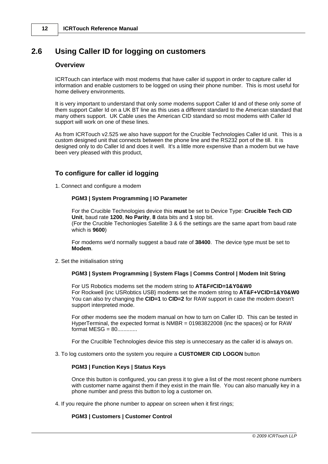# **2.6 Using Caller ID for logging on customers**

# **Overview**

ICRTouch can interface with most modems that have caller id support in order to capture caller id information and enable customers to be logged on using their phone number. This is most useful for home delivery environments.

It is very important to understand that only *some* modems support Caller Id and of these only *some* of them support Caller Id on a UK BT line as this uses a different standard to the American standard that many others support. UK Cable uses the American CID standard so most modems with Caller Id support will work on one of these lines.

As from ICRTouch v2.525 we also have support for the Crucible Technologies Caller Id unit. This is a custom designed unit that connects between the phone line and the RS232 port of the till. It is designed only to do Caller Id and does it well. It's a little more expensive than a modem but we have been very pleased with this product,

# **To configure for caller id logging**

1. Connect and configure a modem

#### **PGM3 | System Programming | IO Parameter**

For the Crucible Technologies device this **must** be set to Device Type: **Crucible Tech CID Unit**, baud rate **1200**, **No Parity**, **8** data bits and **1** stop bit. (For the Crucible Techonlogies Satellite 3 & 6 the settings are the same apart from baud rate which is **9600**)

For modems we'd normally suggest a baud rate of **38400**. The device type must be set to **Modem**.

2. Set the initialisation string

#### **PGM3 | System Programming | System Flags | Comms Control | Modem Init String**

For US Robotics modems set the modem string to **AT&F#CID=1&Y0&W0** For Rockwell {inc USRobtics USB} modems set the modem string to **AT&F+VCID=1&Y0&W0** You can also try changing the **CID=1** to **CID=2** for RAW support in case the modem doesn't support interpreted mode.

For other modems see the modem manual on how to turn on Caller ID. This can be tested in HyperTerminal, the expected format is NMBR =  $01983822008$  {inc the spaces} or for RAW  $format MESG = 80$ ..............

For the Crucilble Technologies device this step is unneccesary as the caller id is always on.

#### 3. To log customers onto the system you require a **CUSTOMER CID LOGON** button

#### **PGM3 | Function Keys | Status Keys**

Once this button is configured, you can press it to give a list of the most recent phone numbers with customer name against them if they exist in the main file. You can also manually key in a phone number and press this button to log a customer on.

4. If you require the phone number to appear on screen when it first rings;

#### **PGM3 | Customers | Customer Control**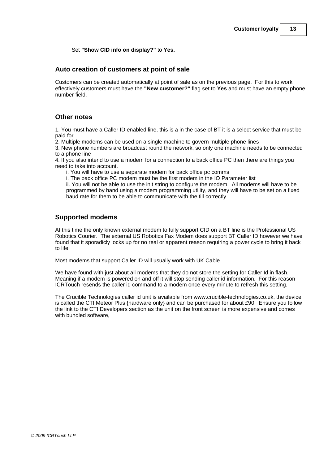Set **"Show CID info on display?"** to **Yes.**

### **Auto creation of customers at point of sale**

Customers can be created automatically at point of sale as on the previous page. For this to work effectively customers must have the **"New customer?"** flag set to **Yes** and must have an empty phone number field.

### **Other notes**

1. You must have a Caller ID enabled line, this is a in the case of BT it is a select service that must be paid for.

2. Multiple modems can be used on a single machine to govern multiple phone lines

3. New phone numbers are broadcast round the network, so only one machine needs to be connected to a phone line

4. If you also intend to use a modem for a connection to a back office PC then there are things you need to take into account.

i. You will have to use a separate modem for back office pc comms

i. The back office PC modem must be the first modem in the IO Parameter list

ii. You will not be able to use the init string to configure the modem. All modems will have to be programmed by hand using a modem programming utility, and they will have to be set on a fixed baud rate for them to be able to communicate with the till correctly.

### **Supported modems**

At this time the only known external modem to fully support CID on a BT line is the Professional US Robotics Courier. The external US Robotics Fax Modem does support BT Caller ID however we have found that it sporadicly locks up for no real or apparent reason requiring a power cycle to bring it back to life.

Most modems that support Caller ID will usually work with UK Cable.

We have found with just about all modems that they do not store the setting for Caller Id in flash. Meaning if a modem is powered on and off it will stop sending caller id information. For this reason ICRTouch resends the caller id command to a modem once every minute to refresh this setting.

The Crucible Technologies caller id unit is available from www.crucible-technologies.co.uk, the device is called the CTI Meteor Plus {hardware only} and can be purchased for about £90. Ensure you follow the link to the CTI Developers section as the unit on the front screen is more expensive and comes with bundled software,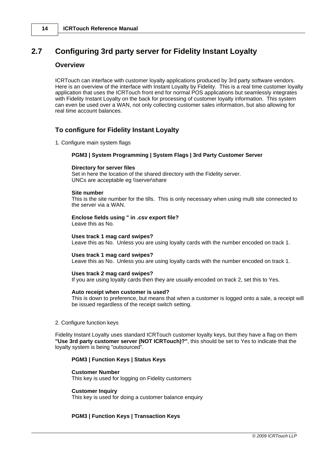# **2.7 Configuring 3rd party server for Fidelity Instant Loyalty**

#### **Overview**

ICRTouch can interface with customer loyalty applications produced by 3rd party software vendors. Here is an overview of the interface with Instant Loyalty by Fidelity. This is a real time customer loyalty application that uses the ICRTouch front end for normal POS applications but seamlessly integrates with Fidelity Instant Loyalty on the back for processing of customer loyalty information. This system can even be used over a WAN, not only collecting customer sales information, but also allowing for real time account balances.

# **To configure for Fidelity Instant Loyalty**

1. Configure main system flags

#### **PGM3 | System Programming | System Flags | 3rd Party Customer Server**

#### **Directory for server files**

Set in here the location of the shared directory with the Fidelity server. UNCs are acceptable eg \\server\share

#### **Site number**

This is the site number for the tills. This is only necessary when using multi site connected to the server via a WAN.

### **Enclose fields using " in .csv export file?**

Leave this as No.

#### **Uses track 1 mag card swipes?**

Leave this as No. Unless you are using loyalty cards with the number encoded on track 1.

#### **Uses track 1 mag card swipes?**

Leave this as No. Unless you are using loyalty cards with the number encoded on track 1.

#### **Uses track 2 mag card swipes?**

If you are using loyalty cards then they are usually encoded on track 2, set this to Yes.

#### **Auto receipt when customer is used?**

This is down to preference, but means that when a customer is logged onto a sale, a receipt will be issued regardless of the receipt switch setting.

#### 2. Configure function keys

Fidelity Instant Loyalty uses standard ICRTouch customer loyalty keys, but they have a flag on them **"Use 3rd party customer server (NOT ICRTouch)?"**, this should be set to Yes to indicate that the loyalty system is being "outsourced".

#### **PGM3 | Function Keys | Status Keys**

#### **Customer Number**

This key is used for logging on Fidelity customers

#### **Customer Inquiry**

This key is used for doing a customer balance enquiry

#### **PGM3 | Function Keys | Transaction Keys**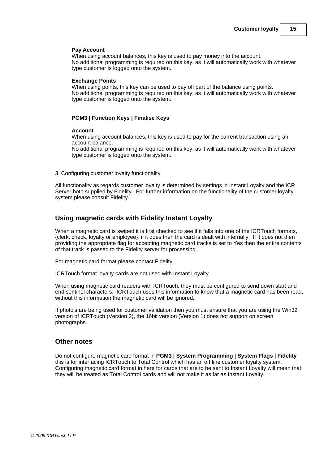#### **Pay Account**

When using account balances, this key is used to pay money into the account. No additional programming is required on this key, as it will automatically work with whatever type customer is logged onto the system.

#### **Exchange Points**

When using points, this key can be used to pay off part of the balance using points. No additional programming is required on this key, as it will automatically work with whatever type customer is logged onto the system.

#### **PGM3 | Function Keys | Finalise Keys**

#### **Account**

When using account balances, this key is used to pay for the current transaction using an account balance.

No additional programming is required on this key, as it will automatically work with whatever type customer is logged onto the system.

3. Configuring customer loyalty functionality

All functionality as regards customer loyalty is determined by settings in Instant Loyalty and the ICR Server both supplied by Fidelity. For further information on the functionality of the customer loyalty system please consult Fidelity.

### **Using magnetic cards with Fidelity Instant Loyalty**

When a magnetic card is swiped it is first checked to see if it falls into one of the ICRTouch formats, {clerk, check, loyalty or employee}, if it does then the card is dealt with internally. If it does not then providing the appropriate flag for accepting magnetic card tracks is set to Yes then the entire contents of that track is passed to the Fidelity server for processing.

For magnetic card format please contact Fidelity.

ICRTouch format loyalty cards are not used with Instant Loyalty.

When using magnetic card readers with ICRTouch, they must be configured to send down start and end sentinel characters. ICRTouch uses this information to know that a magnetic card has been read, without this information the magnetic card will be ignored.

If photo's are being used for customer validation then you must ensure that you are using the Win32 version of ICRTouch (Version 2), the 16bit version (Version 1) does not support on screen photographs.

#### **Other notes**

Do not configure magnetic card format in **PGM3 | System Programming | System Flags | Fidelity** this is for interfacing ICRTouch to Total Control which has an off line customer loyalty system. Configuring magnetic card format in here for cards that are to be sent to Instant Loyalty will mean that they will be treated as Total Control cards and will not make it as far as Instant Loyalty.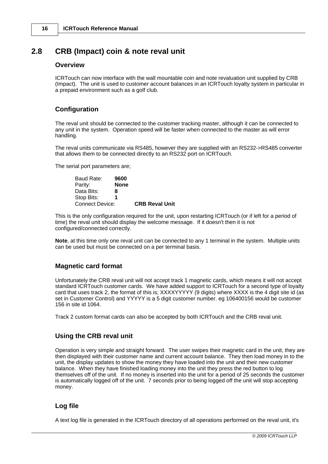# **2.8 CRB (Impact) coin & note reval unit**

# **Overview**

ICRTouch can now interface with the wall mountable coin and note revaluation unit supplied by CRB (Impact). The unit is used to customer account balances in an ICRTouch loyalty system in particular in a prepaid environment such as a golf club.

# **Configuration**

The reval unit should be connected to the customer tracking master, although it can be connected to any unit in the system. Operation speed will be faster when connected to the master as will error handling.

The reval units communicate via RS485, however they are supplied with an RS232->RS485 converter that allows them to be connected directly to an RS232 port on ICRTouch.

The serial port parameters are;

| Baud Rate:      | 9600        |                       |
|-----------------|-------------|-----------------------|
| Parity:         | <b>None</b> |                       |
| Data Bits:      | 8           |                       |
| Stop Bits:      |             |                       |
| Connect Device: |             | <b>CRB Reval Unit</b> |

This is the only configuration required for the unit, upon restarting ICRTouch (or if left for a period of time) the reval unit should display the welcome message. If it doesn't then it is not configured/connected correctly.

**Note**, at this time only one reval unit can be connected to any 1 terminal in the system. Multiple units can be used but must be connected on a per terminal basis.

# **Magnetic card format**

Unfortunately the CRB reval unit will not accept track 1 magnetic cards, which means it will not accept standard ICRTouch customer cards. We have added support to ICRTouch for a second type of loyalty card that uses track 2, the format of this is; XXXXYYYYY (9 digits) where XXXX is the 4 digit site id (as set in Customer Control) and YYYYY is a 5 digit customer number. eg 106400156 would be customer 156 in site id 1064.

Track 2 custom format cards can also be accepted by both ICRTouch and the CRB reval unit.

# **Using the CRB reval unit**

Operation is very simple and straight forward. The user swipes their magnetic card in the unit, they are then displayed with their customer name and current account balance. They then load money in to the unit, the display updates to show the money they have loaded into the unit and their new customer balance. When they have finished loading money into the unit they press the red button to log themselves off of the unit. If no money is inserted into the unit for a period of 25 seconds the customer is automatically logged off of the unit. 7 seconds prior to being logged off the unit will stop accepting money.

# **Log file**

A text log file is generated in the ICRTouch directory of all operations performed on the reval unit, it's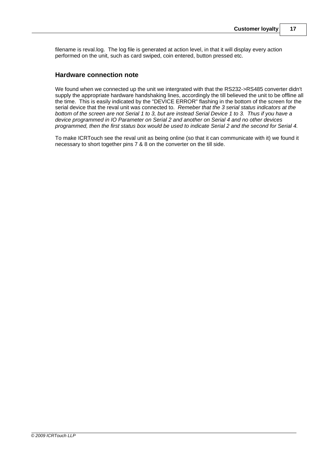filename is reval.log. The log file is generated at action level, in that it will display every action performed on the unit, such as card swiped, coin entered, button pressed etc.

### **Hardware connection note**

We found when we connected up the unit we intergrated with that the RS232->RS485 converter didn't supply the appropriate hardware handshaking lines, accordingly the till believed the unit to be offline all the time. This is easily indicated by the "DEVICE ERROR" flashing in the bottom of the screen for the serial device that the reval unit was connected to. *Remeber that the 3 serial status indicators at the bottom of the screen are not Serial 1 to 3, but are instead Serial Device 1 to 3. Thus if you have a device programmed in IO Parameter on Serial 2 and another on Serial 4 and no other devices programmed, then the first status box would be used to indicate Serial 2 and the second for Serial 4.*

To make ICRTouch see the reval unit as being online (so that it can communicate with it) we found it necessary to short together pins 7 & 8 on the converter on the till side.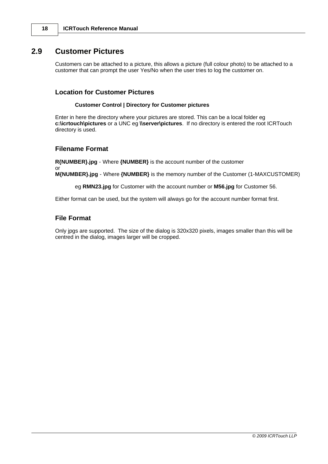# **2.9 Customer Pictures**

Customers can be attached to a picture, this allows a picture (full colour photo) to be attached to a customer that can prompt the user Yes/No when the user tries to log the customer on.

### **Location for Customer Pictures**

#### **Customer Control | Directory for Customer pictures**

Enter in here the directory where your pictures are stored. This can be a local folder eg **c:\icrtouch\pictures** or a UNC eg **\\server\pictures**. If no directory is entered the root ICRTouch directory is used.

### **Filename Format**

**R{NUMBER}.jpg** - Where **{NUMBER}** is the account number of the customer

or **M{NUMBER}.jpg** - Where **{NUMBER}** is the memory number of the Customer (1-MAXCUSTOMER)

eg **RMN23.jpg** for Customer with the account number or **M56.jpg** for Customer 56.

Either format can be used, but the system will always go for the account number format first.

### **File Format**

Only jpgs are supported. The size of the dialog is 320x320 pixels, images smaller than this will be centred in the dialog, images larger will be cropped.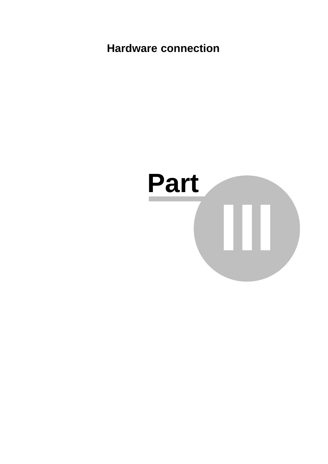**Hardware connection**

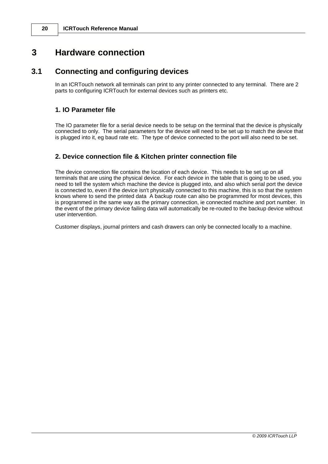# **3 Hardware connection**

# **3.1 Connecting and configuring devices**

In an ICRTouch network all terminals can print to any printer connected to any terminal. There are 2 parts to configuring ICRTouch for external devices such as printers etc.

### **1. IO Parameter file**

The IO parameter file for a serial device needs to be setup on the terminal that the device is physically connected to only. The serial parameters for the device will need to be set up to match the device that is plugged into it, eg baud rate etc. The type of device connected to the port will also need to be set.

### **2. Device connection file & Kitchen printer connection file**

The device connection file contains the location of each device. This needs to be set up on all terminals that are using the physical device. For each device in the table that is going to be used, you need to tell the system which machine the device is plugged into, and also which serial port the device is connected to, even if the device isn't physically connected to this machine, this is so that the system knows where to send the printed data A backup route can also be programmed for most devices, this is programmed in the same way as the primary connection, ie connected machine and port number. In the event of the primary device failing data will automatically be re-routed to the backup device without user intervention.

Customer displays, journal printers and cash drawers can only be connected locally to a machine.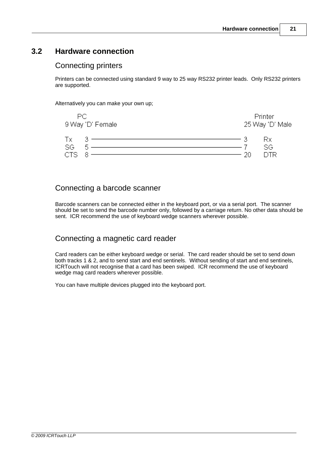# **3.2 Hardware connection**

# Connecting printers

Printers can be connected using standard 9 way to 25 way RS232 printer leads. Only RS232 printers are supported.

Alternatively you can make your own up;



# Connecting a barcode scanner

Barcode scanners can be connected either in the keyboard port, or via a serial port. The scanner should be set to send the barcode number only, followed by a carriage return. No other data should be sent. ICR recommend the use of keyboard wedge scanners wherever possible.

# Connecting a magnetic card reader

Card readers can be either keyboard wedge or serial. The card reader should be set to send down both tracks 1 & 2, and to send start and end sentinels. Without sending of start and end sentinels, ICRTouch will not recognise that a card has been swiped. ICR recommend the use of keyboard wedge mag card readers wherever possible.

You can have multiple devices plugged into the keyboard port.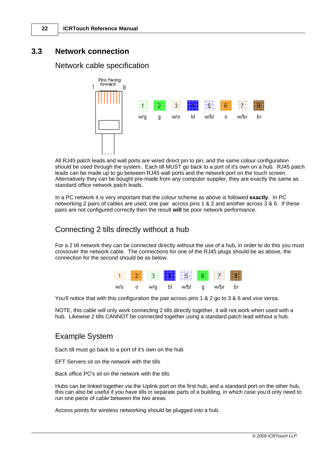# **3.3 Network connection**

# Network cable specification



All RJ45 patch leads and wall ports are wired direct pin to pin, and the same colour configuration should be used through the system. Each till MUST go back to a port of it's own on a hub. RJ45 patch leads can be made up to go between RJ45 wall ports and the network port on the touch screen. Alternatively they can be bought pre-made from any computer supplier, they are exactly the same as standard office network patch leads.

In a PC network it is very important that the colour scheme as above is followed **exactly**. In PC networking 2 pairs of cables are used, one pair across pins 1 & 2 and another across 3 & 6. If these pairs are not configured correctly then the result **will** be poor network performance.

# Connecting 2 tills directly without a hub

For a 2 till network they can be connected directly without the use of a hub, in order to do this you must crossover the network cable. The connections for one of the RJ45 plugs should be as above, the connection for the second should be as below.

**Contract** 

| ماس | wifa | hl | w/hl | q | within | hr |
|-----|------|----|------|---|--------|----|

You'll notice that with this configuration the pair across pins 1 & 2 go to 3 & 6 and vice versa.

NOTE, this cable will only work connecting 2 tills directly together, it will not work when used with a hub. Likewise 2 tills CANNOT be connected together using a standard patch lead without a hub.

# Example System

Each till must go back to a port of it's own on the hub

EFT Servers sit on the network with the tills

Back office PC's sit on the network with the tills

Hubs can be linked together via the Uplink port on the first hub, and a standard port on the other hub, this can also be useful if you have tills in separate parts of a building, in which case you'd only need to run one piece of cable between the two areas

Access points for wireless networking should be plugged into a hub.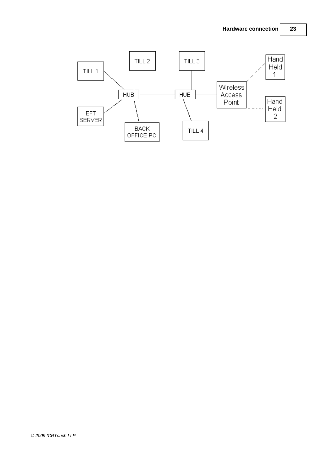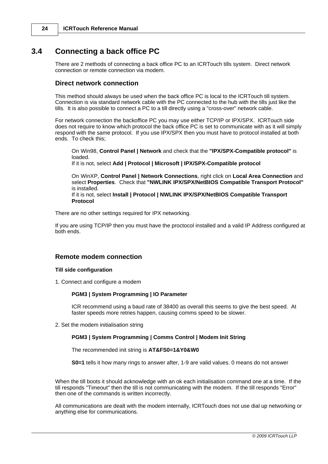# **3.4 Connecting a back office PC**

There are 2 methods of connecting a back office PC to an ICRTouch tills system. Direct network connection or remote connection via modem.

# **Direct network connection**

This method should always be used when the back office PC is local to the ICRTouch till system. Connection is via standard network cable with the PC connected to the hub with the tills just like the tills. It is also possible to connect a PC to a till directly using a "cross-over" network cable.

For network connection the backoffice PC you may use either TCP/IP or IPX/SPX. ICRTouch side does not require to know which protocol the back office PC is set to communicate with as it will simply respond with the same protocol. If you use IPX/SPX then you must have to protocol installed at both ends. To check this;

On Win98, **Control Panel | Network** and check that the **"IPX/SPX-Compatible protocol"** is loaded.

If it is not, select **Add | Protocol | Microsoft | IPX/SPX-Compatible protocol**

On WinXP, **Control Panel | Network Connections**, right click on **Local Area Connection** and select **Properties**. Check that **"NWLINK IPX/SPX/NetBIOS Compatible Transport Protocol"** is installed.

If it is not, select **Install | Protocol | NWLINK IPX/SPX/NetBIOS Compatible Transport Protocol**

There are no other settings required for IPX networking.

If you are using TCP/IP then you must have the proctocol installed and a valid IP Address configured at both ends.

# **Remote modem connection**

# **Till side configuration**

1. Connect and configure a modem

# **PGM3 | System Programming | IO Parameter**

ICR recommend using a baud rate of 38400 as overall this seems to give the best speed. At faster speeds more retries happen, causing comms speed to be slower.

2. Set the modem initialisation string

# **PGM3 | System Programming | Comms Control | Modem Init String**

The recommended init string is **AT&FS0=1&Y0&W0**

**S0=1** tells it how many rings to answer after, 1-9 are valid values. 0 means do not answer

When the till boots it should acknowledge with an ok each initialisation command one at a time. If the till responds "Timeout" then the till is not communicating with the modem. If the till responds "Error" then one of the commands is written incorrectly.

All communications are dealt with the modem internally, ICRTouch does not use dial up networking or anything else for communications.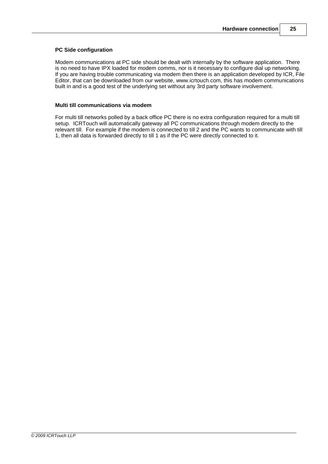#### **PC Side configuration**

Modem communications at PC side should be dealt with internally by the software application. There is no need to have IPX loaded for modem comms, nor is it necessary to configure dial up networking. If you are having trouble communicating via modem then there is an application developed by ICR, File Editor, that can be downloaded from our website, www.icrtouch.com, this has modem communications built in and is a good test of the underlying set without any 3rd party software involvement.

#### **Multi till communications via modem**

For multi till networks polled by a back office PC there is no extra configuration required for a multi till setup. ICRTouch will automatically gateway all PC communications through modem directly to the relevant till. For example if the modem is connected to till 2 and the PC wants to communicate with till 1, then all data is forwarded directly to till 1 as if the PC were directly connected to it.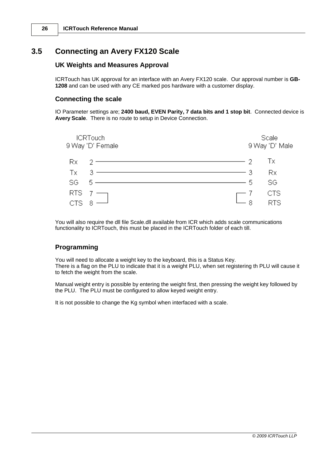# **3.5 Connecting an Avery FX120 Scale**

# **UK Weights and Measures Approval**

ICRTouch has UK approval for an interface with an Avery FX120 scale. Our approval number is **GB-1208** and can be used with any CE marked pos hardware with a customer display.

### **Connecting the scale**

IO Parameter settings are; **2400 baud, EVEN Parity, 7 data bits and 1 stop bit**. Connected device is **Avery Scale**. There is no route to setup in Device Connection.



You will also require the dll file Scale.dll available from ICR which adds scale communications functionality to ICRTouch, this must be placed in the ICRTouch folder of each till.

# **Programming**

You will need to allocate a weight key to the keyboard, this is a Status Key. There is a flag on the PLU to indicate that it is a weight PLU, when set registering th PLU will cause it to fetch the weight from the scale.

Manual weight entry is possible by entering the weight first, then pressing the weight key followed by the PLU. The PLU must be configured to allow keyed weight entry.

It is not possible to change the Kg symbol when interfaced with a scale.

*© 2009 ICRTouch LLP*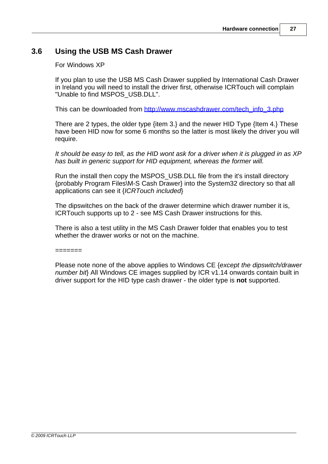# **3.6 Using the USB MS Cash Drawer**

For Windows XP

If you plan to use the USB MS Cash Drawer supplied by International Cash Drawer in Ireland you will need to install the driver first, otherwise ICRTouch will complain "Unable to find MSPOS\_USB.DLL".

This can be downloaded from http://www.mscashdrawer.com/tech\_info\_3.php

There are 2 types, the older type {item 3.} and the newer HID Type {Item 4.} These have been HID now for some 6 months so the latter is most likely the driver you will require.

*It should be easy to tell, as the HID wont ask for a driver when it is plugged in as XP has built in generic support for HID equipment, whereas the former will.*

Run the install then copy the MSPOS\_USB.DLL file from the it's install directory {probably Program Files\M-S Cash Drawer} into the System32 directory so that all applications can see it {*ICRTouch included*}

The dipswitches on the back of the drawer determine which drawer number it is, ICRTouch supports up to 2 - see MS Cash Drawer instructions for this.

There is also a test utility in the MS Cash Drawer folder that enables you to test whether the drawer works or not on the machine.

 $=$ 

Please note none of the above applies to Windows CE {*except the dipswitch/drawer number bit*} All Windows CE images supplied by ICR v1.14 onwards contain built in driver support for the HID type cash drawer - the older type is **not** supported.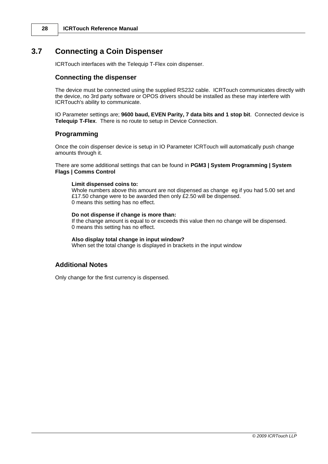# **3.7 Connecting a Coin Dispenser**

ICRTouch interfaces with the Telequip T-Flex coin dispenser.

### **Connecting the dispenser**

The device must be connected using the supplied RS232 cable. ICRTouch communicates directly with the device, no 3rd party software or OPOS drivers should be installed as these may interfere with ICRTouch's ability to communicate.

IO Parameter settings are; **9600 baud, EVEN Parity, 7 data bits and 1 stop bit**. Connected device is **Telequip T-Flex**. There is no route to setup in Device Connection.

### **Programming**

Once the coin dispenser device is setup in IO Parameter ICRTouch will automatically push change amounts through it.

There are some additional settings that can be found in **PGM3 | System Programming | System Flags | Comms Control**

#### **Limit dispensed coins to:**

Whole numbers above this amount are not dispensed as change eg if you had 5.00 set and £17.50 change were to be awarded then only £2.50 will be dispensed. 0 means this setting has no effect.

#### **Do not dispense if change is more than:**

If the change amount is equal to or exceeds this value then no change will be dispensed. 0 means this setting has no effect.

#### **Also display total change in input window?**

When set the total change is displayed in brackets in the input window

### **Additional Notes**

Only change for the first currency is dispensed.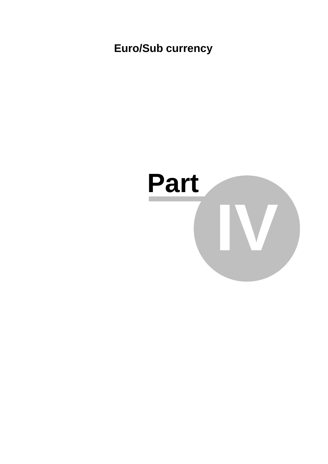**Euro/Sub currency**

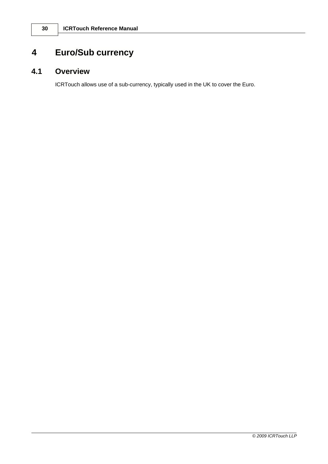# **4 Euro/Sub currency**

# **4.1 Overview**

ICRTouch allows use of a sub-currency, typically used in the UK to cover the Euro.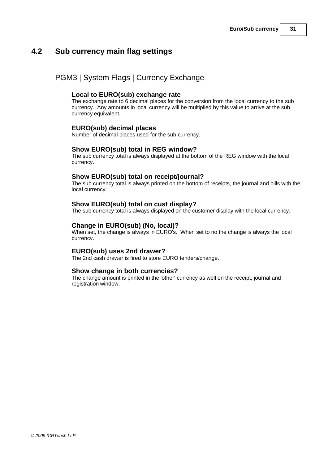# **4.2 Sub currency main flag settings**

# PGM3 | System Flags | Currency Exchange

# **Local to EURO(sub) exchange rate**

The exchange rate to 6 decimal places for the conversion from the local currency to the sub currency. Any amounts in local currency will be multiplied by this value to arrive at the sub currency equivalent.

# **EURO(sub) decimal places**

Number of decimal places used for the sub currency.

# **Show EURO(sub) total in REG window?**

The sub currency total is always displayed at the bottom of the REG window with the local currency.

# **Show EURO(sub) total on receipt/journal?**

The sub currency total is always printed on the bottom of receipts, the journal and bills with the local currency.

### **Show EURO(sub) total on cust display?**

The sub currency total is always displayed on the customer display with the local currency.

### **Change in EURO(sub) (No, local)?**

When set, the change is always in EURO's. When set to no the change is always the local currency.

#### **EURO(sub) uses 2nd drawer?**

The 2nd cash drawer is fired to store EURO tenders/change.

#### **Show change in both currencies?**

The change amount is printed in the 'other' currency as well on the receipt, journal and registration window.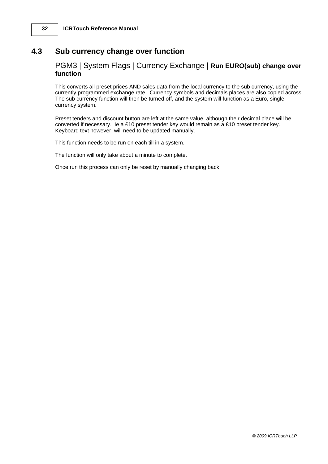# **4.3 Sub currency change over function**

# PGM3 | System Flags | Currency Exchange | **Run EURO(sub) change over function**

This converts all preset prices AND sales data from the local currency to the sub currency, using the currently programmed exchange rate. Currency symbols and decimals places are also copied across. The sub currency function will then be turned off, and the system will function as a Euro, single currency system.

Preset tenders and discount button are left at the same value, although their decimal place will be converted if necessary. Ie a £10 preset tender key would remain as a €10 preset tender key. Keyboard text however, will need to be updated manually.

This function needs to be run on each till in a system.

The function will only take about a minute to complete.

Once run this process can only be reset by manually changing back.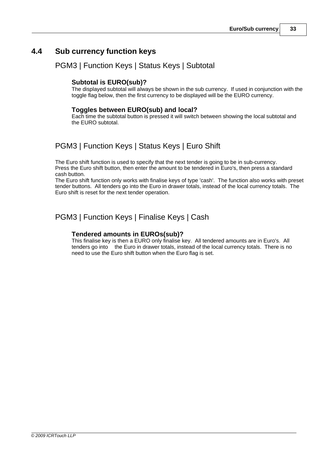# **4.4 Sub currency function keys**

# PGM3 | Function Keys | Status Keys | Subtotal

# **Subtotal is EURO(sub)?**

The displayed subtotal will always be shown in the sub currency. If used in conjunction with the toggle flag below, then the first currency to be displayed will be the EURO currency.

### **Toggles between EURO(sub) and local?**

Each time the subtotal button is pressed it will switch between showing the local subtotal and the EURO subtotal.

# PGM3 | Function Keys | Status Keys | Euro Shift

The Euro shift function is used to specify that the next tender is going to be in sub-currency. Press the Euro shift button, then enter the amount to be tendered in Euro's, then press a standard cash button.

The Euro shift function only works with finalise keys of type 'cash'. The function also works with preset tender buttons. All tenders go into the Euro in drawer totals, instead of the local currency totals. The Euro shift is reset for the next tender operation.

# PGM3 | Function Keys | Finalise Keys | Cash

### **Tendered amounts in EUROs(sub)?**

This finalise key is then a EURO only finalise key. All tendered amounts are in Euro's. All tenders go into the Euro in drawer totals, instead of the local currency totals. There is no need to use the Euro shift button when the Euro flag is set.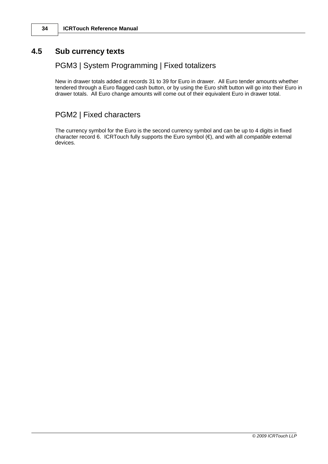# **4.5 Sub currency texts**

# PGM3 | System Programming | Fixed totalizers

New in drawer totals added at records 31 to 39 for Euro in drawer. All Euro tender amounts whether tendered through a Euro flagged cash button, or by using the Euro shift button will go into their Euro in drawer totals. All Euro change amounts will come out of their equivalent Euro in drawer total.

# PGM2 | Fixed characters

The currency symbol for the Euro is the second currency symbol and can be up to 4 digits in fixed character record 6. ICRTouch fully supports the Euro symbol (€), and with all *compatible* external devices.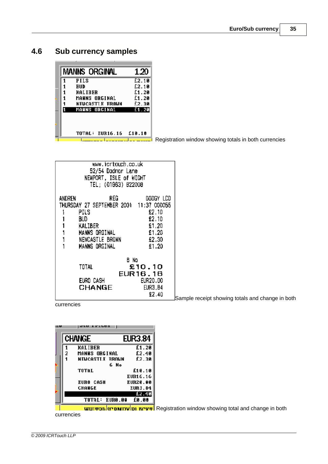**4.6 Sub currency samples**

| <b>FILS</b><br>EUD<br><b>KALIBER</b><br>MANNS ORGINAL<br>NEUCASTLE FROWN<br>MANNS ORGINAL | £2.10<br>£2.10<br>£1.20 |
|-------------------------------------------------------------------------------------------|-------------------------|
|                                                                                           |                         |
|                                                                                           |                         |
|                                                                                           |                         |
|                                                                                           | £1.20                   |
|                                                                                           | £2.30                   |
|                                                                                           | f1.20                   |
|                                                                                           | £1B.1B                  |
| TOTAL: EUR16.16                                                                           |                         |

Registration window showing totals in both currencies

Sample receipt showing totals and change in both

currencies

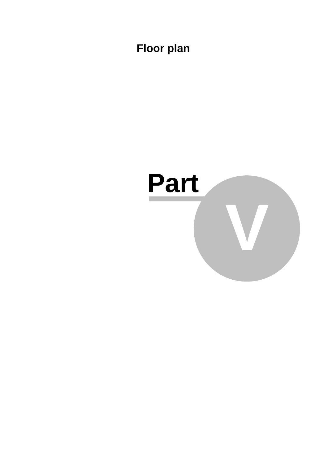**Floor plan**

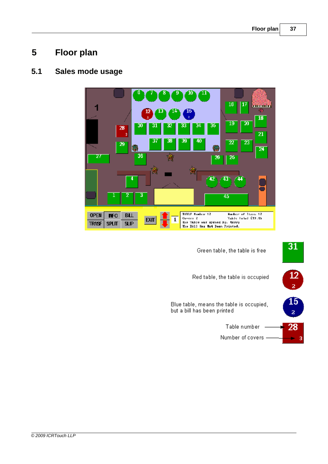# **5 Floor plan**

# **5.1 Sales mode usage**



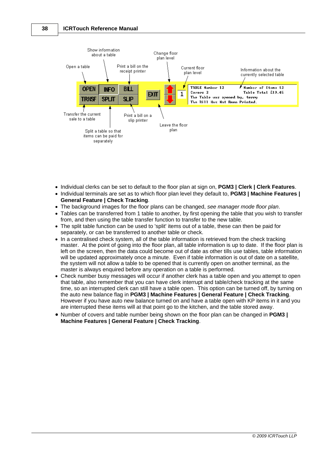

- · Individual clerks can be set to default to the floor plan at sign on, **PGM3 | Clerk | Clerk Features**.
- · Individual terminals are set as to which floor plan level they default to, **PGM3 | Machine Features | General Feature | Check Tracking**.
- · The background images for the floor plans can be changed, *see manager mode floor plan*.
- Tables can be transferred from 1 table to another, by first opening the table that you wish to transfer from, and then using the table transfer function to transfer to the new table.
- · The split table function can be used to 'split' items out of a table, these can then be paid for separately, or can be transferred to another table or check.
- · In a centralised check system, all of the table information is retrieved from the check tracking master. At the point of going into the floor plan, all table information is up to date. If the floor plan is left on the screen, then the data could become out of date as other tills use tables, table information will be updated approximately once a minute. Even if table information is out of date on a satellite, the system will not allow a table to be opened that is currently open on another terminal, as the master is always enquired before any operation on a table is performed.
- · Check number busy messages will occur if another clerk has a table open and you attempt to open that table, also remember that you can have clerk interrupt and table/check tracking at the same time, so an interrupted clerk can still have a table open. This option can be turned off, by turning on the auto new balance flag in **PGM3 | Machine Features | General Feature | Check Tracking**. However if you have auto new balance turned on and have a table open with KP items in it and you are interrupted these items will at that point go to the kitchen, and the table stored away.
- · Number of covers and table number being shown on the floor plan can be changed in **PGM3 | Machine Features | General Feature | Check Tracking**.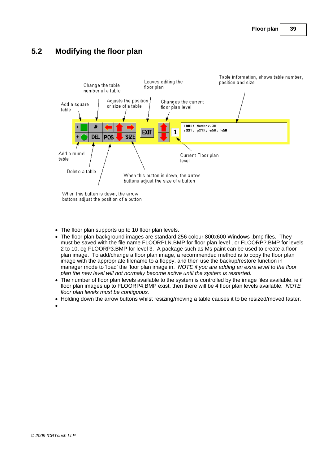# **5.2 Modifying the floor plan**



- · The floor plan supports up to 10 floor plan levels.
- *·* The floor plan background images are standard 256 colour 800x600 Windows .bmp files. They must be saved with the file name FLOORPLN.BMP for floor plan level , or FLOORP?.BMP for levels 2 to 10, eg FLOORP3.BMP for level 3. A package such as Ms paint can be used to create a floor plan image. To add/change a floor plan image, a recommended method is to copy the floor plan image with the appropriate filename to a floppy, and then use the backup/restore function in manager mode to 'load' the floor plan image in. *NOTE if you are adding an extra level to the floor plan the new level will not normally become active until the system is restarted.*
- *·* The number of floor plan levels available to the system is controlled by the image files available, ie if floor plan images up to FLOORP4.BMP exist, then there will be 4 floor plan levels available. *NOTE floor plan levels must be contiguous.*
- · Holding down the arrow buttons whilst resizing/moving a table causes it to be resized/moved faster.
- ·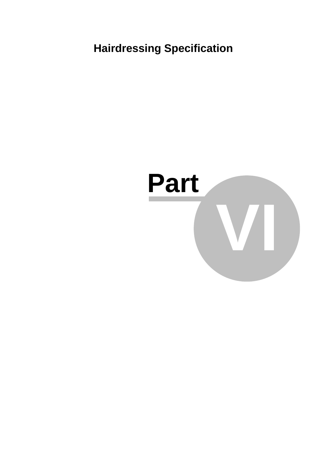**Hairdressing Specification**

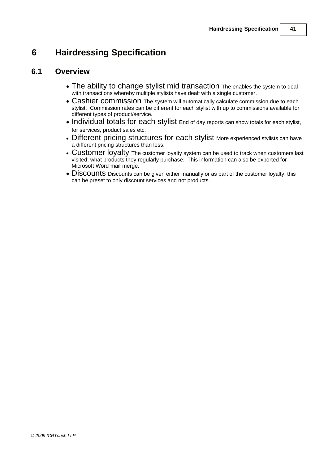# **6 Hairdressing Specification**

# **6.1 Overview**

- The ability to change stylist mid transaction The enables the system to deal with transactions whereby multiple stylists have dealt with a single customer.
- · Cashier commission The system will automatically calculate commission due to each stylist. Commission rates can be different for each stylist with up to commissions available for different types of product/service.
- Individual totals for each stylist End of day reports can show totals for each stylist, for services, product sales etc.
- Different pricing structures for each stylist More experienced stylists can have a different pricing structures than less.
- Customer loyalty The customer loyalty system can be used to track when customers last visited, what products they regularly purchase. This information can also be exported for Microsoft Word mail merge.
- · Discounts Discounts can be given either manually or as part of the customer loyalty, this can be preset to only discount services and not products.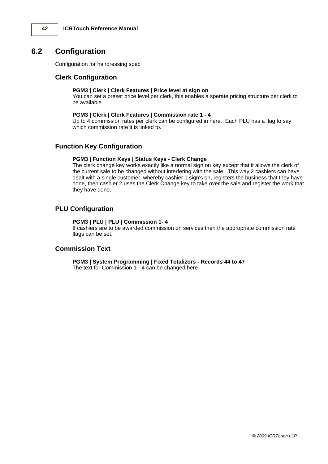# **6.2 Configuration**

Configuration for hairdressing spec

#### **Clerk Configuration**

#### **PGM3 | Clerk | Clerk Features | Price level at sign on**

You can set a preset price level per clerk, this enables a sperate pricing structure per clerk to be available.

#### **PGM3 | Clerk | Clerk Features | Commission rate 1 - 4**

Up to 4 commission rates per clerk can be configured in here. Each PLU has a flag to say which commission rate it is linked to.

#### **Function Key Configuration**

#### **PGM3 | Function Keys | Status Keys - Clerk Change**

The clerk change key works exactly like a normal sign on key except that it allows the clerk of the current sale to be changed without interfering with the sale. This way 2 cashiers can have dealt with a single customer, whereby cashier 1 sign's on, registers the business that they have done, then cashier 2 uses the Clerk Change key to take over the sale and register the work that they have done.

#### **PLU Configuration**

#### **PGM3 | PLU | PLU | Commission 1- 4**

If cashiers are to be awarded commission on services then the appropriate commission rate flags can be set.

#### **Commission Text**

**PGM3 | System Programming | Fixed Totalizors - Records 44 to 47** The text for Commission 1 - 4 can be changed here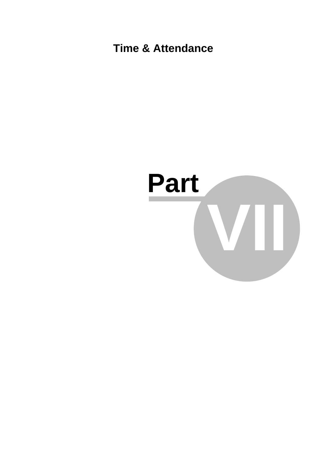**Time & Attendance**

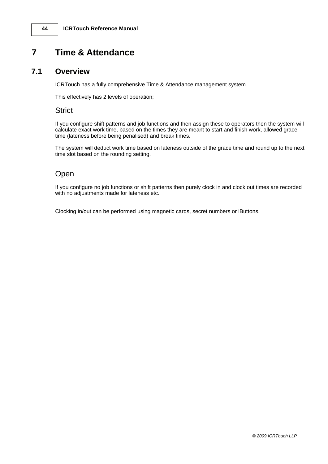# **7 Time & Attendance**

### **7.1 Overview**

ICRTouch has a fully comprehensive Time & Attendance management system.

This effectively has 2 levels of operation;

### **Strict**

If you configure shift patterns and job functions and then assign these to operators then the system will calculate exact work time, based on the times they are meant to start and finish work, allowed grace time (lateness before being penalised) and break times.

The system will deduct work time based on lateness outside of the grace time and round up to the next time slot based on the rounding setting.

# Open

If you configure no job functions or shift patterns then purely clock in and clock out times are recorded with no adjustments made for lateness etc.

Clocking in/out can be performed using magnetic cards, secret numbers or iButtons.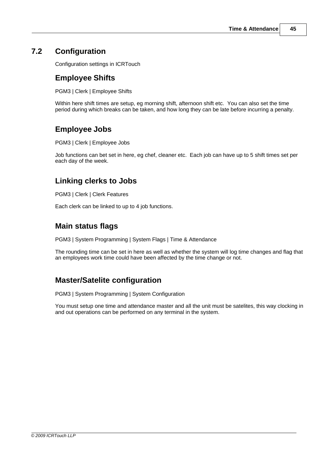# **7.2 Configuration**

Configuration settings in ICRTouch

### **Employee Shifts**

PGM3 | Clerk | Employee Shifts

Within here shift times are setup, eg morning shift, afternoon shift etc. You can also set the time period during which breaks can be taken, and how long they can be late before incurring a penalty.

# **Employee Jobs**

PGM3 | Clerk | Employee Jobs

Job functions can bet set in here, eg chef, cleaner etc. Each job can have up to 5 shift times set per each day of the week.

# **Linking clerks to Jobs**

PGM3 | Clerk | Clerk Features

Each clerk can be linked to up to 4 job functions.

### **Main status flags**

PGM3 | System Programming | System Flags | Time & Attendance

The rounding time can be set in here as well as whether the system will log time changes and flag that an employees work time could have been affected by the time change or not.

# **Master/Satelite configuration**

PGM3 | System Programming | System Configuration

You must setup one time and attendance master and all the unit must be satelites, this way clocking in and out operations can be performed on any terminal in the system.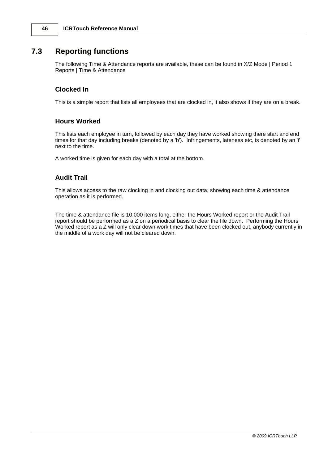# **7.3 Reporting functions**

The following Time & Attendance reports are available, these can be found in X/Z Mode | Period 1 Reports | Time & Attendance

### **Clocked In**

This is a simple report that lists all employees that are clocked in, it also shows if they are on a break.

#### **Hours Worked**

This lists each employee in turn, followed by each day they have worked showing there start and end times for that day including breaks (denoted by a 'b'). Infringements, lateness etc, is denoted by an 'i' next to the time.

A worked time is given for each day with a total at the bottom.

### **Audit Trail**

This allows access to the raw clocking in and clocking out data, showing each time & attendance operation as it is performed.

The time & attendance file is 10,000 items long, either the Hours Worked report or the Audit Trail report should be performed as a Z on a periodical basis to clear the file down. Performing the Hours Worked report as a Z will only clear down work times that have been clocked out, anybody currently in the middle of a work day will not be cleared down.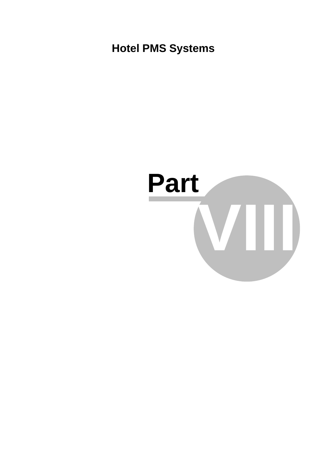**Hotel PMS Systems**

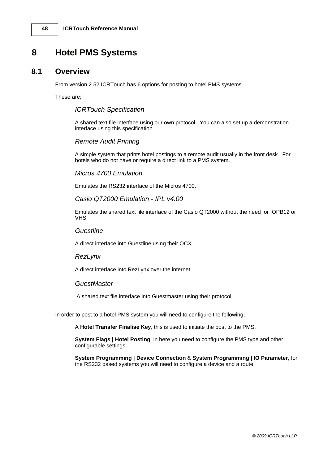# **8 Hotel PMS Systems**

# **8.1 Overview**

From version 2.52 ICRTouch has 6 options for posting to hotel PMS systems.

These are;

### *ICRTouch Specification*

A shared text file interface using our own protocol. You can also set up a demonstration interface using this specification.

### *Remote Audit Printing*

A simple system that prints hotel postings to a remote audit usually in the front desk. For hotels who do not have or require a direct link to a PMS system.

### *Micros 4700 Emulation*

Emulates the RS232 interface of the Micros 4700.

### *Casio QT2000 Emulation - IPL v4.00*

Emulates the shared text file interface of the Casio QT2000 without the need for IOPB12 or VHS.

#### *Guestline*

A direct interface into Guestline using their OCX.

#### *RezLynx*

A direct interface into RezLynx over the internet.

#### *GuestMaster*

A shared text file interface into Guestmaster using their protocol.

In order to post to a hotel PMS system you will need to configure the following;

A **Hotel Transfer Finalise Key**, this is used to initiate the post to the PMS.

**System Flags | Hotel Posting**, in here you need to configure the PMS type and other configurable settings

**System Programming | Device Connection** & **System Programming | IO Parameter**, for the RS232 based systems you will need to configure a device and a route.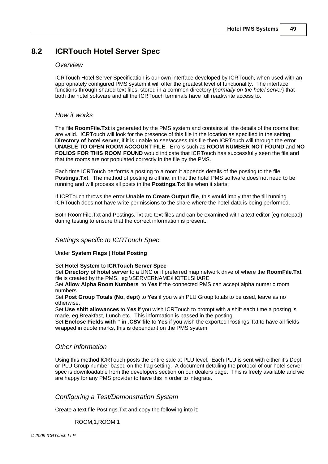# **8.2 ICRTouch Hotel Server Spec**

#### *Overview*

ICRTouch Hotel Server Specification is our own interface developed by ICRTouch, when used with an appropriately configured PMS system it will offer the greatest level of functionality. The interface functions through shared text files, stored in a common directory {*normally on the hotel server*} that both the hotel software and all the ICRTouch terminals have full read/write access to.

#### *How it works*

The file **RoomFile.Txt** is generated by the PMS system and contains all the details of the rooms that are valid. ICRTouch will look for the presence of this file in the location as specified in the setting **Directory of hotel server**, if it is unable to see/access this file then ICRTouch will through the error **UNABLE TO OPEN ROOM ACCOUNT FILE**. Errors such as **ROOM NUMBER NOT FOUND** and **NO FOLIOS FOR THIS ROOM FOUND** would indicate that ICRTouch has successfully seen the file and that the rooms are not populated correctly in the file by the PMS.

Each time ICRTouch performs a posting to a room it appends details of the posting to the file **Postings.Txt**. The method of posting is offline, in that the hotel PMS software does not need to be running and will process all posts in the **Postings.Txt** file when it starts.

If ICRTouch throws the error **Unable to Create Output file**, this would imply that the till running ICRTouch does not have write permissions to the share where the hotel data is being performed.

Both RoomFile.Txt and Postings.Txt are text files and can be examined with a text editor {eg notepad} during testing to ensure that the correct information is present.

#### *Settings specific to ICRTouch Spec*

#### Under **System Flags | Hotel Posting**

#### Set **Hotel System** to **ICRTouch Server Spec**

Set **Directory of hotel server** to a UNC or if preferred map network drive of where the **RoomFile.Txt** file is created by the PMS. eg \\SERVERNAME\HOTELSHARE

Set **Allow Alpha Room Numbers** to **Yes** if the connected PMS can accept alpha numeric room numbers.

Set **Post Group Totals (No, dept)** to **Yes** if you wish PLU Group totals to be used, leave as no otherwise.

Set **Use shift allowances** to **Yes** if you wish ICRTouch to prompt with a shift each time a posting is made, eg Breakfast, Lunch etc. This information is passed in the posting.

Set **Enclose Fields with " in .CSV file** to **Yes** if you wish the exported Postings.Txt to have all fields wrapped in quote marks, this is dependant on the PMS system

#### *Other Information*

Using this method ICRTouch posts the entire sale at PLU level. Each PLU is sent with either it's Dept or PLU Group number based on the flag setting. A document detailing the protocol of our hotel server spec is downloadable from the developers section on our dealers page. This is freely available and we are happy for any PMS provider to have this in order to integrate.

#### *Configuring a Test/Demonstration System*

Create a text file Postings.Txt and copy the following into it;

ROOM,1,ROOM 1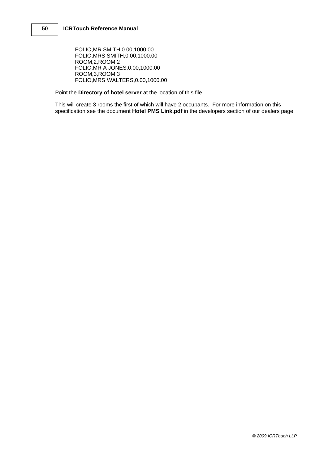FOLIO,MR SMITH,0.00,1000.00 FOLIO,MRS SMITH,0.00,1000.00 ROOM,2,ROOM 2 FOLIO,MR A JONES,0.00,1000.00 ROOM,3,ROOM 3 FOLIO,MRS WALTERS,0.00,1000.00

Point the **Directory of hotel server** at the location of this file.

This will create 3 rooms the first of which will have 2 occupants. For more information on this specification see the document **Hotel PMS Link.pdf** in the developers section of our dealers page.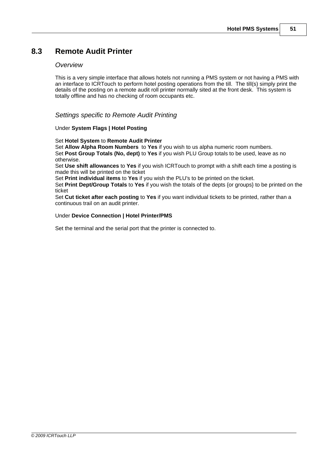# **8.3 Remote Audit Printer**

#### *Overview*

This is a very simple interface that allows hotels not running a PMS system or not having a PMS with an interface to ICRTouch to perform hotel posting operations from the till. The till(s) simply print the details of the posting on a remote audit roll printer normally sited at the front desk. This system is totally offline and has no checking of room occupants etc.

#### *Settings specific to Remote Audit Printing*

#### Under **System Flags | Hotel Posting**

#### Set **Hotel System** to **Remote Audit Printer**

Set **Allow Alpha Room Numbers** to **Yes** if you wish to us alpha numeric room numbers. Set **Post Group Totals (No, dept)** to **Yes** if you wish PLU Group totals to be used, leave as no otherwise.

Set **Use shift allowances** to **Yes** if you wish ICRTouch to prompt with a shift each time a posting is made this will be printed on the ticket

Set **Print individual items** to **Yes** if you wish the PLU's to be printed on the ticket.

Set **Print Dept/Group Totals** to **Yes** if you wish the totals of the depts {or groups} to be printed on the ticket

Set **Cut ticket after each posting** to **Yes** if you want individual tickets to be printed, rather than a continuous trail on an audit printer.

#### Under **Device Connection | Hotel Printer/PMS**

Set the terminal and the serial port that the printer is connected to.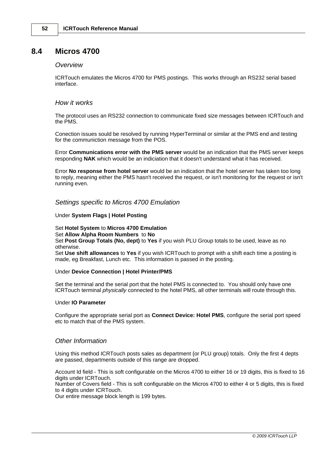### **8.4 Micros 4700**

#### *Overview*

ICRTouch emulates the Micros 4700 for PMS postings. This works through an RS232 serial based interface.

#### *How it works*

The protocol uses an RS232 connection to communicate fixed size messages between ICRTouch and the PMS.

Conection issues sould be resolved by running HyperTerminal or similar at the PMS end and testing for the communiction message from the POS.

Error **Communications error with the PMS server** would be an indication that the PMS server keeps responding **NAK** which would be an indiciation that it doesn't understand what it has received.

Error **No response from hotel server** would be an indication that the hotel server has taken too long to reply, meaning either the PMS hasn't received the request, or isn't monitoring for the request or isn't running even.

#### *Settings specific to Micros 4700 Emulation*

#### Under **System Flags | Hotel Posting**

#### Set **Hotel System** to **Micros 4700 Emulation**

#### Set **Allow Alpha Room Numbers** to **No**

Set **Post Group Totals (No, dept)** to **Yes** if you wish PLU Group totals to be used, leave as no otherwise.

Set **Use shift allowances** to **Yes** if you wish ICRTouch to prompt with a shift each time a posting is made, eg Breakfast, Lunch etc. This information is passed in the posting.

#### Under **Device Connection | Hotel Printer/PMS**

Set the terminal and the serial port that the hotel PMS is connected to. You should only have one ICRTouch terminal *physically* connected to the hotel PMS, all other terminals will route through this.

#### Under **IO Parameter**

Configure the appropriate serial port as **Connect Device: Hotel PMS**, configure the serial port speed etc to match that of the PMS system.

#### *Other Information*

Using this method ICRTouch posts sales as department {or PLU group} totals. Only the first 4 depts are passed, departments outside of this range are dropped.

Account Id field - This is soft configurable on the Micros 4700 to either 16 or 19 digits, this is fixed to 16 digits under ICRTouch.

Number of Covers field - This is soft configurable on the Micros 4700 to either 4 or 5 digits, this is fixed to 4 digits under ICRTouch.

Our entire message block length is 199 bytes.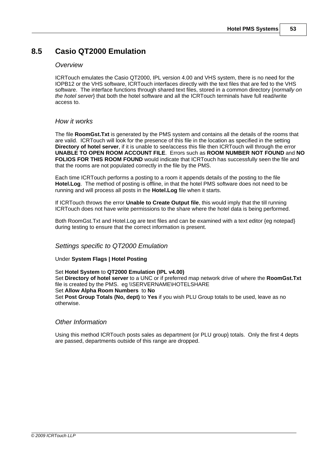# **8.5 Casio QT2000 Emulation**

#### *Overview*

ICRTouch emulates the Casio QT2000, IPL version 4.00 and VHS system, there is no need for the IOPB12 or the VHS software, ICRTouch interfaces directly with the text files that are fed to the VHS software. The interface functions through shared text files, stored in a common directory {*normally on the hotel server*} that both the hotel software and all the ICRTouch terminals have full read/write access to.

#### *How it works*

The file **RoomGst.Txt** is generated by the PMS system and contains all the details of the rooms that are valid. ICRTouch will look for the presence of this file in the location as specified in the setting **Directory of hotel server**, if it is unable to see/access this file then ICRTouch will through the error **UNABLE TO OPEN ROOM ACCOUNT FILE**. Errors such as **ROOM NUMBER NOT FOUND** and **NO FOLIOS FOR THIS ROOM FOUND** would indicate that ICRTouch has successfully seen the file and that the rooms are not populated correctly in the file by the PMS.

Each time ICRTouch performs a posting to a room it appends details of the posting to the file **Hotel.Log**. The method of posting is offline, in that the hotel PMS software does not need to be running and will process all posts in the **Hotel.Log** file when it starts.

If ICRTouch throws the error **Unable to Create Output file**, this would imply that the till running ICRTouch does not have write permissions to the share where the hotel data is being performed.

Both RoomGst. Txt and Hotel. Log are text files and can be examined with a text editor {eq notepad} during testing to ensure that the correct information is present.

#### *Settings specific to QT2000 Emulation*

Under **System Flags | Hotel Posting**

#### Set **Hotel System** to **QT2000 Emulation (IPL v4.00)**

Set **Directory of hotel server** to a UNC or if preferred map network drive of where the **RoomGst.Txt** file is created by the PMS. eg \\SERVERNAME\HOTELSHARE Set **Allow Alpha Room Numbers** to **No** Set **Post Group Totals (No, dept)** to **Yes** if you wish PLU Group totals to be used, leave as no otherwise.

#### *Other Information*

Using this method ICRTouch posts sales as department {or PLU group} totals. Only the first 4 depts are passed, departments outside of this range are dropped.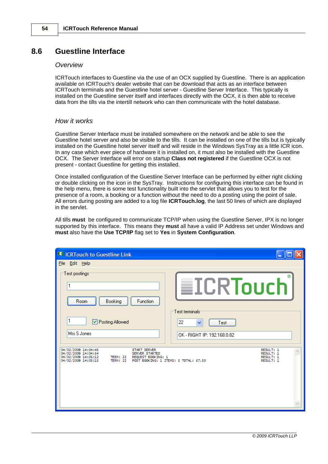# **8.6 Guestline Interface**

#### *Overview*

ICRTouch interfaces to Guestline via the use of an OCX supplied by Guestline. There is an application available on ICRTouch's dealer website that can be download that acts as an interface between ICRTouch terminals and the Guestline hotel server - Guestline Server Interface. This typically is installed on the Guestline server itself and interfaces directly with the OCX, it is then able to receive data from the tills via the intertill network who can then communicate with the hotel database.

#### *How it works*

Guestline Server Interface must be installed somewhere on the network and be able to see the Guestline hotel server and also be visible to the tills. It can be installed on one of the tills but is typically installed on the Guestline hotel server itself and will reside in the Windows SysTray as a little ICR icon. In any case which ever piece of hardware it is installed on, it must also be installed with the Guestline OCX. The Server Interface will error on startup **Class not registered** if the Guestline OCX is not present - contact Guestline for getting this installed.

Once installed configuration of the Guestline Server Interface can be performed by either right clicking or double clicking on the icon in the SysTray. Instructions for configuring this interface can be found in the help menu, there is some test functionality built into the servlet that allows you to test for the presence of a room, a booking or a function without the need to do a posting using the point of sale. All errors during posting are added to a log file **ICRTouch.log**, the last 50 lines of which are displayed in the servlet.

All tills **must** be configured to communicate TCP/IP when using the Guestline Server, IPX is no longer supported by this interface. This means they **must** all have a valid IP Address set under Windows and **must** also have the **Use TCP/IP** flag set to **Yes** in **System Configuration**.

| <b>30% ICRTouch to Guestline Link</b>                                                                                                                                                                |                                                                                                   |
|------------------------------------------------------------------------------------------------------------------------------------------------------------------------------------------------------|---------------------------------------------------------------------------------------------------|
| File Edit Help                                                                                                                                                                                       |                                                                                                   |
| Test postings:<br>Booking<br>Room<br><b>Function</b><br>1<br>□ Posting Allowed<br>Mrs S Jones                                                                                                        | <b>≣ICRTouch</b><br>Test terminals <sup>.</sup><br>22<br>Test<br>v<br>OK - RIGHT IP: 192.168.0.82 |
| 04/02/2009 14:04:45<br><b>START SERVER</b><br>04/02/2009 14:04:54<br><b>SERVER STARTED</b><br>04/02/2009 14:05:12<br><b>TERM: 22</b><br>REQUEST BOOKING: 1<br>04/02/2009 14:05:15<br><b>TERM: 22</b> | RESULT: 1<br>RESULT: 1<br>RESULT: 1<br>RESULT: 1<br>POST BOOKING: 1 ITEMS: 5 TOTAL: £7,50         |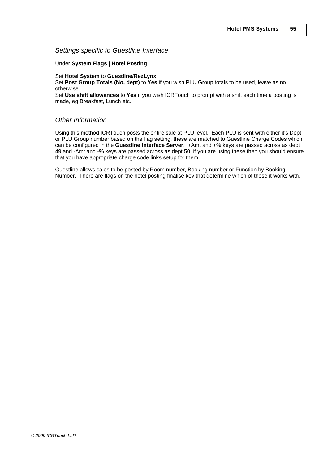#### *Settings specific to Guestline Interface*

#### Under **System Flags | Hotel Posting**

Set **Hotel System** to **Guestline/RezLynx**

Set **Post Group Totals (No, dept)** to **Yes** if you wish PLU Group totals to be used, leave as no otherwise.

Set **Use shift allowances** to **Yes** if you wish ICRTouch to prompt with a shift each time a posting is made, eg Breakfast, Lunch etc.

#### *Other Information*

Using this method ICRTouch posts the entire sale at PLU level. Each PLU is sent with either it's Dept or PLU Group number based on the flag setting, these are matched to Guestline Charge Codes which can be configured in the **Guestline Interface Server**. +Amt and +% keys are passed across as dept 49 and -Amt and -% keys are passed across as dept 50, if you are using these then you should ensure that you have appropriate charge code links setup for them.

Guestline allows sales to be posted by Room number, Booking number or Function by Booking Number. There are flags on the hotel posting finalise key that determine which of these it works with.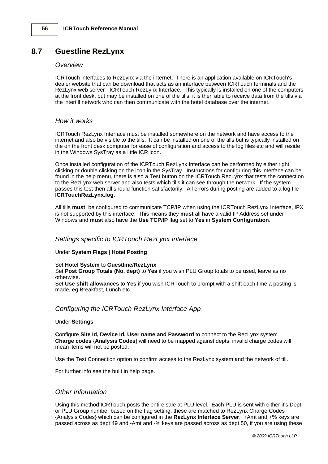# **8.7 Guestline RezLynx**

#### *Overview*

ICRTouch interfaces to RezLynx via the internet. There is an application available on ICRTouch's dealer website that can be download that acts as an interface between ICRTouch terminals and the RezLynx web server - ICRTouch RezLynx Interface. This typically is installed on one of the computers at the front desk, but may be installed on one of the tills, it is then able to receive data from the tills via the intertill network who can then communicate with the hotel database over the internet.

#### *How it works*

ICRTouch RezLynx Interface must be installed somewhere on the network and have access to the internet and also be visible to the tills. It can be installed on one of the tills but is typically installed on the on the front desk computer for ease of configuration and access to the log files etc and will reside in the Windows SysTray as a little ICR icon.

Once installed configuration of the ICRTouch RezLynx Interface can be performed by either right clicking or double clicking on the icon in the SysTray. Instructions for configuring this interface can be found in the help menu, there is also a Test button on the ICRTouch RezLynx that tests the connection to the RezLynx web server and also tests which tills it can see through the network. If the system passes this test then all should function satisfactorily. All errors during posting are added to a log file **ICRTouchRezLynx.log**.

All tills **must** be configured to communicate TCP/IP when using the ICRTouch RezLynx Interface, IPX is not supported by this interface. This means they **must** all have a valid IP Address set under Windows and **must** also have the **Use TCP/IP** flag set to **Yes** in **System Configuration**.

#### *Settings specific to ICRTouch RezLynx Interface*

#### Under **System Flags | Hotel Posting**

#### Set **Hotel System** to **Guestline/RezLynx**

Set **Post Group Totals (No, dept)** to **Yes** if you wish PLU Group totals to be used, leave as no otherwise.

Set **Use shift allowances** to **Yes** if you wish ICRTouch to prompt with a shift each time a posting is made, eg Breakfast, Lunch etc.

#### *Configuring the ICRTouch RezLynx Interface App*

#### Under **Settings**

**C**onfigure **Site Id, Device Id, User name and Password** to connect to the RezLynx system. **Charge codes** {**Analysis Codes**} will need to be mapped against depts, invalid charge codes will mean items will not be posted.

Use the Test Connection option to confirm access to the RezLynx system and the network of till.

For further info see the built in help page.

#### *Other Information*

Using this method ICRTouch posts the entire sale at PLU level. Each PLU is sent with either it's Dept or PLU Group number based on the flag setting, these are matched to RezLynx Charge Codes {Analysis Codes} which can be configured in the **RezLynx Interface Server**. +Amt and +% keys are passed across as dept 49 and -Amt and -% keys are passed across as dept 50, if you are using these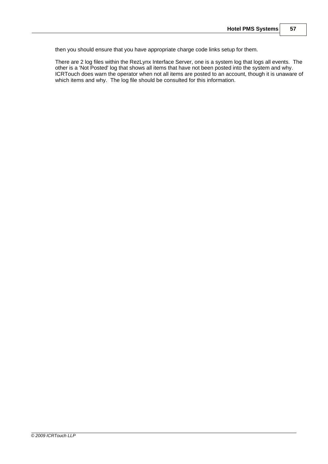then you should ensure that you have appropriate charge code links setup for them.

There are 2 log files within the RezLynx Interface Server, one is a system log that logs all events. The other is a 'Not Posted' log that shows all items that have not been posted into the system and why. ICRTouch does warn the operator when not all items are posted to an account, though it is unaware of which items and why. The log file should be consulted for this information.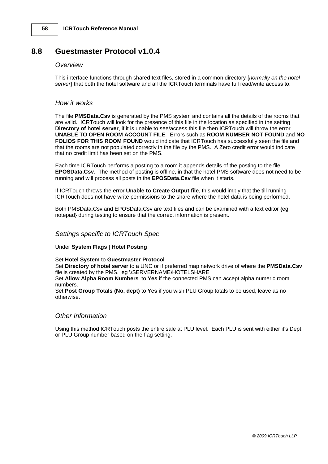# **8.8 Guestmaster Protocol v1.0.4**

#### *Overview*

This interface functions through shared text files, stored in a common directory {*normally on the hotel server*} that both the hotel software and all the ICRTouch terminals have full read/write access to.

#### *How it works*

The file **PMSData.Csv** is generated by the PMS system and contains all the details of the rooms that are valid. ICRTouch will look for the presence of this file in the location as specified in the setting **Directory of hotel server**, if it is unable to see/access this file then ICRTouch will throw the error **UNABLE TO OPEN ROOM ACCOUNT FILE**. Errors such as **ROOM NUMBER NOT FOUND** and **NO FOLIOS FOR THIS ROOM FOUND** would indicate that ICRTouch has successfully seen the file and that the rooms are not populated correctly in the file by the PMS. A Zero credit error would indicate that no credit limit has been set on the PMS.

Each time ICRTouch performs a posting to a room it appends details of the posting to the file **EPOSData.Csv**. The method of posting is offline, in that the hotel PMS software does not need to be running and will process all posts in the **EPOSData.Csv** file when it starts.

If ICRTouch throws the error **Unable to Create Output file**, this would imply that the till running ICRTouch does not have write permissions to the share where the hotel data is being performed.

Both PMSData.Csv and EPOSData.Csv are text files and can be examined with a text editor {eg notepad} during testing to ensure that the correct information is present.

#### *Settings specific to ICRTouch Spec*

Under **System Flags | Hotel Posting**

Set **Hotel System** to **Guestmaster Protocol**

Set **Directory of hotel server** to a UNC or if preferred map network drive of where the **PMSData.Csv** file is created by the PMS. eg \\SERVERNAME\HOTELSHARE

Set **Allow Alpha Room Numbers** to **Yes** if the connected PMS can accept alpha numeric room numbers.

Set **Post Group Totals (No, dept)** to **Yes** if you wish PLU Group totals to be used, leave as no otherwise.

#### *Other Information*

Using this method ICRTouch posts the entire sale at PLU level. Each PLU is sent with either it's Dept or PLU Group number based on the flag setting.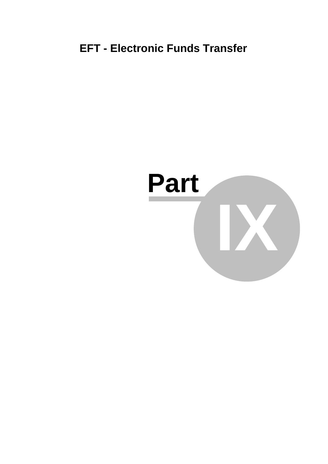# **EFT - Electronic Funds Transfer**

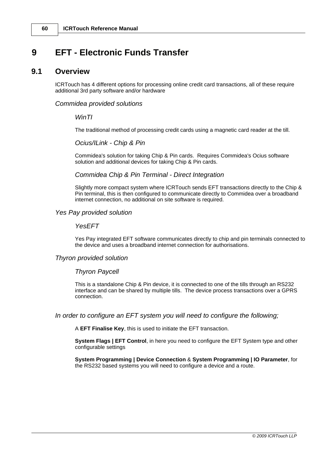# **9 EFT - Electronic Funds Transfer**

### **9.1 Overview**

ICRTouch has 4 different options for processing online credit card transactions, all of these require additional 3rd party software and/or hardware

#### *Commidea provided solutions*

#### *WinTI*

The traditional method of processing credit cards using a magnetic card reader at the till.

#### *Ocius/ILink - Chip & Pin*

Commidea's solution for taking Chip & Pin cards. Requires Commidea's Ocius software solution and additional devices for taking Chip & Pin cards.

#### *Commidea Chip & Pin Terminal - Direct Integration*

Slightly more compact system where ICRTouch sends EFT transactions directly to the Chip & Pin terminal, this is then configured to communicate directly to Commidea over a broadband internet connection, no additional on site software is required.

#### *Yes Pay provided solution*

#### *YesEFT*

Yes Pay integrated EFT software communicates directly to chip and pin terminals connected to the device and uses a broadband internet connection for authorisations.

#### *Thyron provided solution*

#### *Thyron Paycell*

This is a standalone Chip & Pin device, it is connected to one of the tills through an RS232 interface and can be shared by multiple tills. The device process transactions over a GPRS connection.

#### *In order to configure an EFT system you will need to configure the following;*

A **EFT Finalise Key**, this is used to initiate the EFT transaction.

**System Flags | EFT Control**, in here you need to configure the EFT System type and other configurable settings

**System Programming | Device Connection** & **System Programming | IO Parameter**, for the RS232 based systems you will need to configure a device and a route.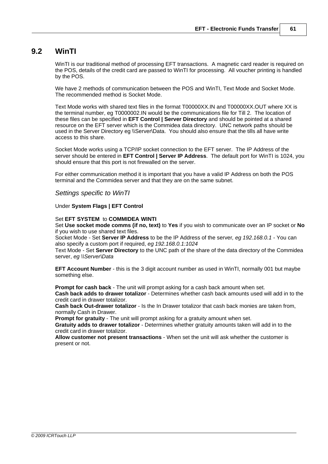### **9.2 WinTI**

WinTI is our traditional method of processing EFT transactions. A magnetic card reader is required on the POS, details of the credit card are passed to WinTI for processing. All voucher printing is handled by the POS.

We have 2 methods of communication between the POS and WinTI, Text Mode and Socket Mode. The recommended method is Socket Mode.

Text Mode works with shared text files in the format T00000XX.IN and T00000XX.OUT where XX is the terminal number, eg T0000002.IN would be the communications file for Till 2. The location of these files can be specified in **EFT Control | Server Directory** and should be pointed at a shared resource on the EFT server which is the Commidea data directory. UNC network paths should be used in the Server Directory eg \\Server\Data. You should also ensure that the tills all have write access to this share.

Socket Mode works using a TCP/IP socket connection to the EFT server. The IP Address of the server should be entered in **EFT Control | Server IP Address**. The default port for WinTI is 1024, you should ensure that this port is not firewalled on the server.

For either communication method it is important that you have a valid IP Address on both the POS terminal and the Commidea server and that they are on the same subnet.

*Settings specific to WinTI*

#### Under **System Flags | EFT Control**

#### Set **EFT SYSTEM** to **COMMIDEA WINTI**

Set **Use socket mode comms (if no, text)** to **Yes** if you wish to communicate over an IP socket or **No** if you wish to use shared text files.

Socket Mode - Set **Server IP Address** to be the IP Address of the server*, eg 192.168.0.1* - You can also specify a custom port if required, *eg 192.168.0.1:1024*

Text Mode - Set **Server Directory** to the UNC path of the share of the data directory of the Commidea server, *eg \\Server\Data*

**EFT Account Number** - this is the 3 digit account number as used in WinTI, normally 001 but maybe something else.

**Prompt for cash back** - The unit will prompt asking for a cash back amount when set. **Cash back adds to drawer totalizor** - Determines whether cash back amounts used will add in to the credit card in drawer totalizor.

**Cash back Out-drawer totalizor** - Is the In Drawer totalizor that cash back monies are taken from, normally Cash in Drawer.

**Prompt for gratuity** - The unit will prompt asking for a gratuity amount when set.

**Gratuity adds to drawer totalizor** - Determines whether gratuity amounts taken will add in to the credit card in drawer totalizor.

**Allow customer not present transactions** - When set the unit will ask whether the customer is present or not.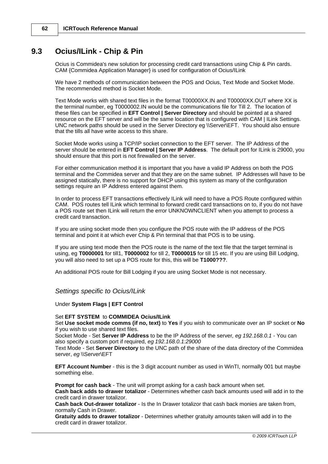# **9.3 Ocius/ILink - Chip & Pin**

Ocius is Commidea's new solution for processing credit card transactions using Chip & Pin cards. CAM {Commidea Application Manager} is used for configuration of Ocius/ILink

We have 2 methods of communication between the POS and Ocius, Text Mode and Socket Mode. The recommended method is Socket Mode.

Text Mode works with shared text files in the format T00000XX.IN and T00000XX.OUT where XX is the terminal number, eg T0000002.IN would be the communications file for Till 2. The location of these files can be specified in **EFT Control | Server Directory** and should be pointed at a shared resource on the EFT server and will be the same location that is configured with CAM | ILink Settings. UNC network paths should be used in the Server Directory eg \\Server\EFT. You should also ensure that the tills all have write access to this share.

Socket Mode works using a TCP/IP socket connection to the EFT server. The IP Address of the server should be entered in **EFT Control | Server IP Address**. The default port for ILink is 29000, you should ensure that this port is not firewalled on the server.

For either communication method it is important that you have a valid IP Address on both the POS terminal and the Commidea server and that they are on the same subnet. IP Addresses will have to be assigned statically, there is no support for DHCP using this system as many of the configuration settings require an IP Address entered against them.

In order to process EFT transactions effectively ILink will need to have a POS Route configured within CAM. POS routes tell ILink which terminal to forward credit card transactions on to, if you do not have a POS route set then ILink will return the error UNKNOWNCLIENT when you attempt to process a credit card transaction.

If you are using socket mode then you configure the POS route with the IP address of the POS terminal and point it at which ever Chip & Pin terminal that that POS is to be using.

If you are using text mode then the POS route is the name of the text file that the target terminal is using, eg **T0000001** for till1, **T0000002** for till 2, **T0000015** for till 15 etc. If you are using Bill Lodging, you will also need to set up a POS route for this, this will be **T1000???**.

An additional POS route for Bill Lodging if you are using Socket Mode is not necessary.

#### *Settings specific to Ocius/ILink*

#### Under **System Flags | EFT Control**

#### Set **EFT SYSTEM** to **COMMIDEA Ocius/ILink**

Set **Use socket mode comms (if no, text)** to **Yes** if you wish to communicate over an IP socket or **No** if you wish to use shared text files.

Socket Mode - Set **Server IP Address** to be the IP Address of the server*, eg 192.168.0.1* - You can also specify a custom port if required, *eg 192.168.0.1:29000*

Text Mode - Set **Server Directory** to the UNC path of the share of the data directory of the Commidea server, eg \\Server\EFT

**EFT Account Number** - this is the 3 digit account number as used in WinTI, normally 001 but maybe something else.

**Prompt for cash back** - The unit will prompt asking for a cash back amount when set. **Cash back adds to drawer totalizor** - Determines whether cash back amounts used will add in to the credit card in drawer totalizor.

**Cash back Out-drawer totalizor** - Is the In Drawer totalizor that cash back monies are taken from, normally Cash in Drawer.

**Gratuity adds to drawer totalizor** - Determines whether gratuity amounts taken will add in to the credit card in drawer totalizor.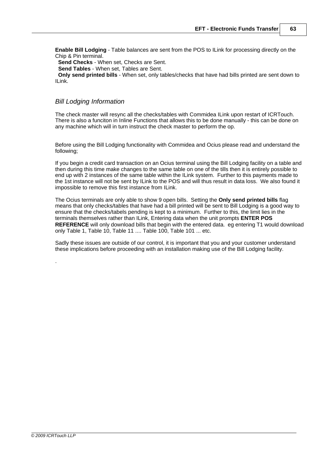**Enable Bill Lodging** - Table balances are sent from the POS to ILink for processing directly on the Chip & Pin terminal.

 **Send Checks** - When set, Checks are Sent.

 **Send Tables** - When set, Tables are Sent.

 **Only send printed bills** - When set, only tables/checks that have had bills printed are sent down to ILink.

#### *Bill Lodging Information*

The check master will resync all the checks/tables with Commidea ILink upon restart of ICRTouch. There is also a funciton in Inline Functions that allows this to be done manually - this can be done on any machine which will in turn instruct the check master to perform the op.

Before using the Bill Lodging functionality with Commidea and Ocius please read and understand the following;

If you begin a credit card transaction on an Ocius terminal using the Bill Lodging facility on a table and then during this time make changes to the same table on one of the tills then it is entirely possible to end up with 2 instances of the same table within the ILink system. Further to this payments made to the 1st instance will not be sent by ILink to the POS and will thus result in data loss. We also found it impossible to remove this first instance from ILink.

The Ocius terminals are only able to show 9 open bills. Setting the **Only send printed bills** flag means that only checks/tables that have had a bill printed will be sent to Bill Lodging is a good way to ensure that the checks/tabels pending is kept to a minimum. Further to this, the limit lies in the terminals themselves rather than ILink, Entering data when the unit prompts **ENTER POS REFERENCE** will only download bills that begin with the entered data. eg entering T1 would download only Table 1, Table 10, Table 11 .... Table 100, Table 101 ... etc.

Sadly these issues are outside of our control, it is important that you and your customer understand these implications before proceeding with an installation making use of the Bill Lodging facility.

.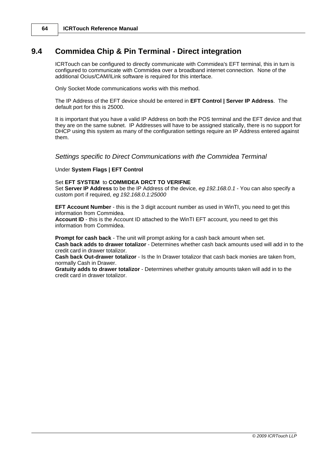# **9.4 Commidea Chip & Pin Terminal - Direct integration**

ICRTouch can be configured to directly communicate with Commidea's EFT terminal, this in turn is configured to communicate with Commidea over a broadband internet connection. None of the additional Ocius/CAM/ILink software is required for this interface.

Only Socket Mode communications works with this method.

The IP Address of the EFT device should be entered in **EFT Control | Server IP Address**. The default port for this is 25000.

It is important that you have a valid IP Address on both the POS terminal and the EFT device and that they are on the same subnet. IP Addresses will have to be assigned statically, there is no support for DHCP using this system as many of the configuration settings require an IP Address entered against them.

#### *Settings specific to Direct Communications with the Commidea Terminal*

#### Under **System Flags | EFT Control**

#### Set **EFT SYSTEM** to **COMMIDEA DRCT TO VERIFNE**

Set **Server IP Address** to be the IP Address of the device*, eg 192.168.0.1* - You can also specify a custom port if required, *eg 192.168.0.1:25000*

**EFT Account Number** - this is the 3 digit account number as used in WinTI, you need to get this information from Commidea.

**Account ID** - this is the Account ID attached to the WinTI EFT account, you need to get this information from Commidea.

**Prompt for cash back** - The unit will prompt asking for a cash back amount when set. **Cash back adds to drawer totalizor** - Determines whether cash back amounts used will add in to the

credit card in drawer totalizor.

**Cash back Out-drawer totalizor** - Is the In Drawer totalizor that cash back monies are taken from, normally Cash in Drawer.

**Gratuity adds to drawer totalizor** - Determines whether gratuity amounts taken will add in to the credit card in drawer totalizor.

*© 2009 ICRTouch LLP*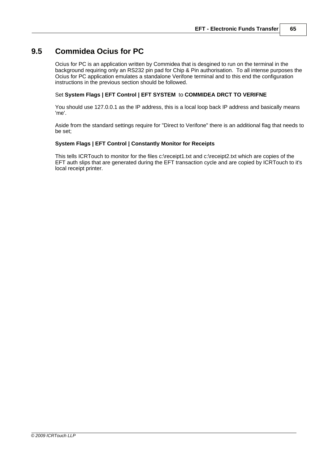# **9.5 Commidea Ocius for PC**

Ocius for PC is an application written by Commidea that is desgined to run on the terminal in the background requiring only an RS232 pin pad for Chip & Pin authorisation. To all intense purposes the Ocius for PC application emulates a standalone Verifone terminal and to this end the configuration instructions in the previous section should be followed.

#### Set **System Flags | EFT Control | EFT SYSTEM** to **COMMIDEA DRCT TO VERIFNE**

You should use 127.0.0.1 as the IP address, this is a local loop back IP address and basically means 'me'.

Aside from the standard settings require for "Direct to Verifone" there is an additional flag that needs to be set;

#### **System Flags | EFT Control | Constantly Monitor for Receipts**

This tells ICRTouch to monitor for the files c:\receipt1.txt and c:\receipt2.txt which are copies of the EFT auth slips that are generated during the EFT transaction cycle and are copied by ICRTouch to it's local receipt printer.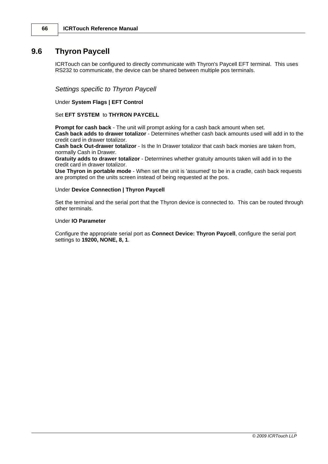### **9.6 Thyron Paycell**

ICRTouch can be configured to directly communicate with Thyron's Paycell EFT terminal. This uses RS232 to communicate, the device can be shared between multiple pos terminals.

*Settings specific to Thyron Paycell*

Under **System Flags | EFT Control**

Set **EFT SYSTEM** to **THYRON PAYCELL**

**Prompt for cash back** - The unit will prompt asking for a cash back amount when set. **Cash back adds to drawer totalizor** - Determines whether cash back amounts used will add in to the

credit card in drawer totalizor.

**Cash back Out-drawer totalizor** - Is the In Drawer totalizor that cash back monies are taken from, normally Cash in Drawer.

**Gratuity adds to drawer totalizor** - Determines whether gratuity amounts taken will add in to the credit card in drawer totalizor.

**Use Thyron in portable mode** - When set the unit is 'assumed' to be in a cradle, cash back requests are prompted on the units screen instead of being requested at the pos.

#### Under **Device Connection | Thyron Paycell**

Set the terminal and the serial port that the Thyron device is connected to. This can be routed through other terminals.

#### Under **IO Parameter**

Configure the appropriate serial port as **Connect Device: Thyron Paycell**, configure the serial port settings to **19200, NONE, 8, 1**.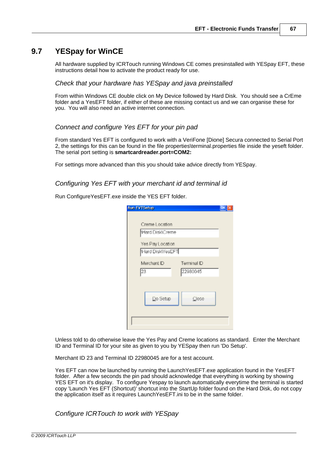# **9.7 YESpay for WinCE**

All hardware supplied by ICRTouch running Windows CE comes presinstalled with YESpay EFT, these instructions detail how to activate the product ready for use.

#### *Check that your hardware has YESpay and java preinstalled*

From within Windows CE double click on My Device followed by Hard Disk. You should see a CrEme folder and a YesEFT folder, if either of these are missing contact us and we can organise these for you. You will also need an active internet connection.

#### *Connect and configure Yes EFT for your pin pad*

From standard Yes EFT is configured to work with a VeriFone [Dione] Secura connected to Serial Port 2, the settings for this can be found in the file properties\terminal.properties file inside the yeseft folder. The serial port setting is **smartcardreader.port=COM2:**

For settings more advanced than this you should take advice directly from YESpay.

#### *Configuring Yes EFT with your merchant id and terminal id*

Run ConfigureYesEFT.exe inside the YES EFT folder.

| <b>Run EVTSetup</b>                  |                         |
|--------------------------------------|-------------------------|
| Creme Location<br>Hard Disk\Creme    |                         |
| Yes Pay Location<br>Hard Disk\YesEFT |                         |
| Merchant ID<br> 23                   | Terminal ID<br>22980045 |
| Do Setup                             | Close                   |
|                                      |                         |

Unless told to do otherwise leave the Yes Pay and Creme locations as standard. Enter the Merchant ID and Terminal ID for your site as given to you by YESpay then run 'Do Setup'.

Merchant ID 23 and Terminal ID 22980045 are for a test account.

Yes EFT can now be launched by running the LaunchYesEFT.exe application found in the YesEFT folder. After a few seconds the pin pad should acknowledge that everything is working by showing YES EFT on it's display. To configure Yespay to launch automatically everytime the terminal is started copy 'Launch Yes EFT (Shortcut)' shortcut into the StartUp folder found on the Hard Disk, do not copy the application itself as it requires LaunchYesEFT.ini to be in the same folder.

*Configure ICRTouch to work with YESpay*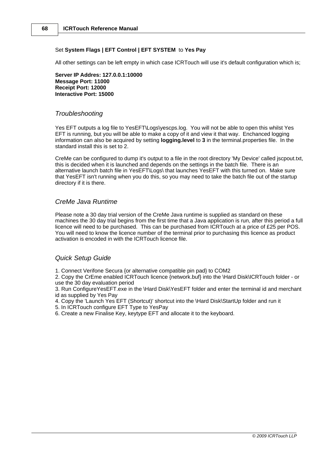#### Set **System Flags | EFT Control | EFT SYSTEM** to **Yes Pay**

All other settings can be left empty in which case ICRTouch will use it's default configuration which is;

**Server IP Addres: 127.0.0.1:10000 Message Port: 11000 Receipt Port: 12000 Interactive Port: 15000**

#### *Troubleshooting*

Yes EFT outputs a log file to YesEFT\Logs\yescps.log. You will not be able to open this whilst Yes EFT is running, but you will be able to make a copy of it and view it that way. Enchanced logging information can also be acquired by setting **logging.level** to **3** in the terminal.properties file. In the standard install this is set to 2.

CreMe can be configured to dump it's output to a file in the root directory 'My Device' called jscpout.txt, this is decided when it is launched and depends on the settings in the batch file. There is an alternative launch batch file in YesEFT\Logs\ that launches YesEFT with this turned on. Make sure that YesEFT isn't running when you do this, so you may need to take the batch file out of the startup directory if it is there.

#### *CreMe Java Runtime*

Please note a 30 day trial version of the CreMe Java runtime is supplied as standard on these machines the 30 day trial begins from the first time that a Java application is run, after this period a full licence will need to be purchased. This can be purchased from ICRTouch at a price of £25 per POS. You will need to know the licence number of the terminal prior to purchasing this licence as product activation is encoded in with the ICRTouch licence file.

#### *Quick Setup Guide*

1. Connect Verifone Secura {or alternative compatible pin pad} to COM2

2. Copy the CrEme enabled ICRTouch licence {network.buf} into the \Hard Disk\ICRTouch folder - or use the 30 day evaluation period

3. Run ConfigureYesEFT.exe in the \Hard Disk\YesEFT folder and enter the terminal id and merchant id as supplied by Yes Pay

- 4. Copy the 'Launch Yes EFT (Shortcut)' shortcut into the \Hard Disk\StartUp folder and run it
- 5. In ICRTouch configure EFT Type to YesPay
- 6. Create a new Finalise Key, keytype EFT and allocate it to the keyboard.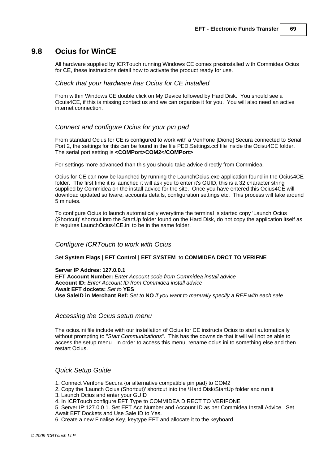### **9.8 Ocius for WinCE**

All hardware supplied by ICRTouch running Windows CE comes presinstalled with Commidea Ocius for CE, these instructions detail how to activate the product ready for use.

#### *Check that your hardware has Ocius for CE installed*

From within Windows CE double click on My Device followed by Hard Disk. You should see a Ocuis4CE, if this is missing contact us and we can organise it for you. You will also need an active internet connection.

#### *Connect and configure Ocius for your pin pad*

From standard Ocius for CE is configured to work with a VeriFone [Dione] Secura connected to Serial Port 2, the settings for this can be found in the file PED.Settings.ccf file inside the Ocisu4CE folder. The serial port setting is **<COMPort>COM2</COMPort>**

For settings more advanced than this you should take advice directly from Commidea.

Ocius for CE can now be launched by running the LaunchOcius.exe application found in the Ocius4CE folder. The first time it is launched it will ask you to enter it's GUID, this is a 32 character string supplied by Commidea on the install advice for the site. Once you have entered this Ocius4CE will download updated software, accounts details, configuration settings etc. This process will take around 5 minutes.

To configure Ocius to launch automatically everytime the terminal is started copy 'Launch Ocius (Shortcut)' shortcut into the StartUp folder found on the Hard Disk, do not copy the application itself as it requires LaunchOcius4CE.ini to be in the same folder.

#### *Configure ICRTouch to work with Ocius*

#### Set **System Flags | EFT Control | EFT SYSTEM** to **COMMIDEA DRCT TO VERIFNE**

#### **Server IP Addres: 127.0.0.1**

**EFT Account Number:** *Enter Account code from Commidea install advice* **Account ID:** *Enter Account ID from Commidea install advice* **Await EFT dockets:** *Set to* **YES Use SaleID in Merchant Ref:** *Set to* **NO** *if you want to manually specify a REF with each sale*

#### *Accessing the Ocius setup menu*

The ocius.ini file include with our installation of Ocius for CE instructs Ocius to start automatically without prompting to "*Start Communications*". This has the downside that it will will not be able to access the setup menu. In order to access this menu, rename ocius.ini to something else and then restart Ocius.

#### *Quick Setup Guide*

1. Connect Verifone Secura {or alternative compatible pin pad} to COM2

2. Copy the 'Launch Ocius (Shortcut)' shortcut into the \Hard Disk\StartUp folder and run it

3. Launch Ocius and enter your GUID

4. In ICRTouch configure EFT Type to COMMIDEA DIRECT TO VERIFONE

5. Server IP:127.0.0.1. Set EFT Acc Number and Account ID as per Commidea Install Advice. Set Await EFT Dockets and Use Sale ID to Yes.

6. Create a new Finalise Key, keytype EFT and allocate it to the keyboard.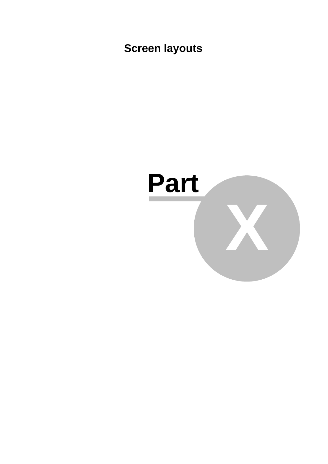**Screen layouts**

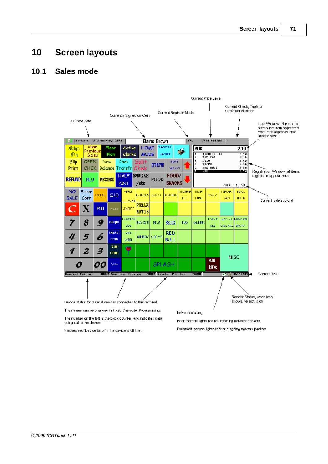### **10 Screen layouts**

### **10.1 Sales mode**



Flashes red "Device Error" if the device is off line.

Foremost 'screen' lights red for outgoing network packets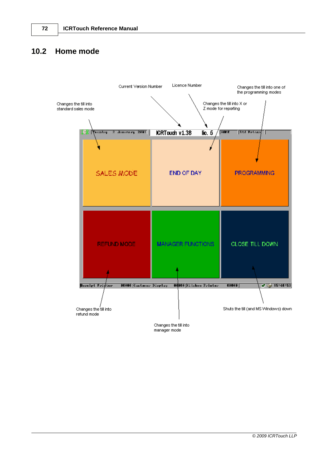### **10.2 Home mode**



manager mode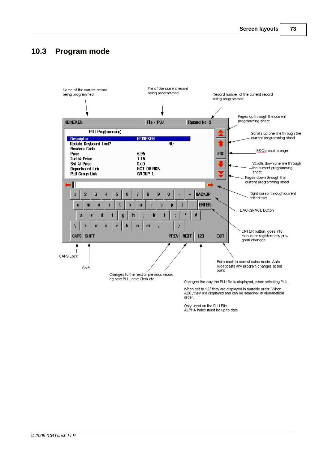### **10.3 Program mode**



Only used on the PLU File. ALPHA index must be up to date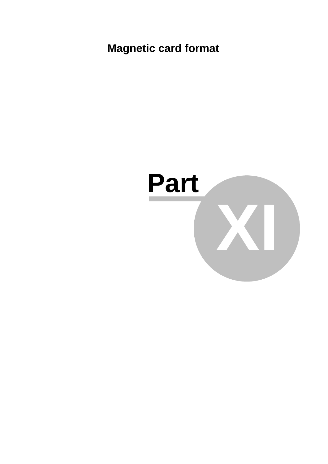**Magnetic card format**

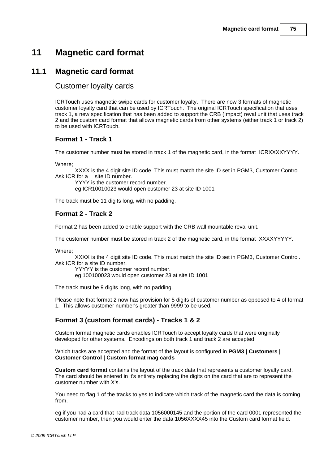### **11 Magnetic card format**

### **11.1 Magnetic card format**

#### Customer loyalty cards

ICRTouch uses magnetic swipe cards for customer loyalty. There are now 3 formats of magnetic customer loyalty card that can be used by ICRTouch. The original ICRTouch specification that uses track 1, a new specification that has been added to support the CRB (Impact) reval unit that uses track 2 and the custom card format that allows magnetic cards from other systems (either track 1 or track 2) to be used with ICRTouch.

#### **Format 1 - Track 1**

The customer number must be stored in track 1 of the magnetic card, in the format ICRXXXXYYYY.

Where;

XXXX is the 4 digit site ID code. This must match the site ID set in PGM3, Customer Control. Ask ICR for a site ID number.

YYYY is the customer record number. eg ICR10010023 would open customer 23 at site ID 1001

The track must be 11 digits long, with no padding.

#### **Format 2 - Track 2**

Format 2 has been added to enable support with the CRB wall mountable reval unit.

The customer number must be stored in track 2 of the magnetic card, in the format XXXXYYYYY.

Where;

XXXX is the 4 digit site ID code. This must match the site ID set in PGM3, Customer Control. Ask ICR for a site ID number.

YYYYY is the customer record number. eg 100100023 would open customer 23 at site ID 1001

The track must be 9 digits long, with no padding.

Please note that format 2 now has provision for 5 digits of customer number as opposed to 4 of format 1. This allows customer number's greater than 9999 to be used.

#### **Format 3 (custom format cards) - Tracks 1 & 2**

Custom format magnetic cards enables ICRTouch to accept loyalty cards that were originally developed for other systems. Encodings on both track 1 and track 2 are accepted.

Which tracks are accepted and the format of the layout is configured in **PGM3 | Customers | Customer Control | Custom format mag cards**

**Custom card format** contains the layout of the track data that represents a customer loyalty card. The card should be entered in it's entirety replacing the digits on the card that are to represent the customer number with X's.

You need to flag 1 of the tracks to yes to indicate which track of the magnetic card the data is coming from.

eg if you had a card that had track data 1056000145 and the portion of the card 0001 represented the customer number, then you would enter the data 1056XXXX45 into the Custom card format field.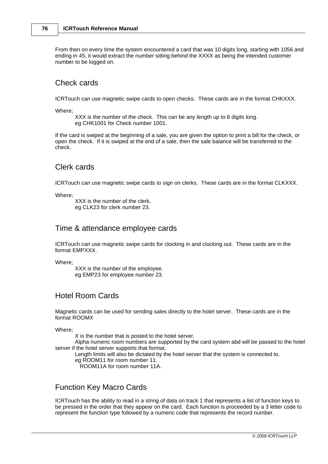From then on every time the system encountered a card that was 10 digits long, starting with 1056 and ending in 45, it would extract the number sitting behind the XXXX as being the intended customer number to be logged on.

#### Check cards

ICRTouch can use magnetic swipe cards to open checks. These cards are in the format CHKXXX.

Where;

XXX is the number of the check. This can be any length up to 8 digits long. eg CHK1001 for Check number 1001.

If the card is swiped at the beginning of a sale, you are given the option to print a bill for the check, or open the check. If it is swiped at the end of a sale, then the sale balance will be transferred to the check.

#### Clerk cards

ICRTouch can use magnetic swipe cards to sign on clerks. These cards are in the format CLKXXX.

Where;

XXX is the number of the clerk. eg CLK23 for clerk number 23.

#### Time & attendance employee cards

ICRTouch can use magnetic swipe cards for clocking in and clocking out. These cards are in the format EMPXXX.

Where;

XXX is the number of the employee. eg EMP23 for employee number 23.

#### Hotel Room Cards

Magnetic cards can be used for sending sales directly to the hotel server. These cards are in the format ROOMX

Where;

X is the number that is posted to the hotel server.

Alpha numeric room numbers are supported by the card system abd will be passed to the hotel server if the hotel server supports that format.

Length limits will also be dictated by the hotel server that the system is connected to.

eg ROOM11 for room number 11.

ROOM11A for room number 11A.

#### Function Key Macro Cards

ICRTouch has the ability to read in a string of data on track 1 that represents a list of function keys to be pressed in the order that they appear on the card. Each function is proceeded by a 3 letter code to represent the function type followed by a numeric code that represents the record number.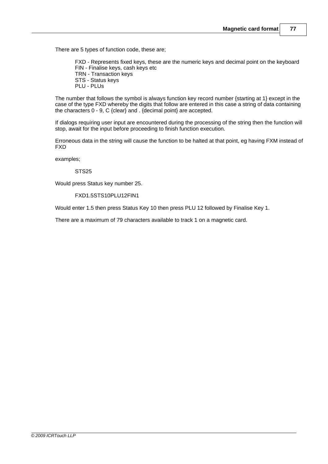There are 5 types of function code, these are;

FXD - Represents fixed keys, these are the numeric keys and decimal point on the keyboard FIN - Finalise keys, cash keys etc TRN - Transaction keys STS - Status keys PLU - PLUs

The number that follows the symbol is always function key record number {starting at 1} except in the case of the type FXD whereby the digits that follow are entered in this case a string of data containing the characters 0 - 9, C {clear} and . {decimal point} are accepted.

If dialogs requiring user input are encountered during the processing of the string then the function will stop, await for the input before proceeding to finish function execution.

Erroneous data in the string will cause the function to be halted at that point, eg having FXM instead of FXD

examples;

STS<sub>25</sub>

Would press Status key number 25.

FXD1.5STS10PLU12FIN1

Would enter 1.5 then press Status Key 10 then press PLU 12 followed by Finalise Key 1.

There are a maximum of 79 characters available to track 1 on a magnetic card.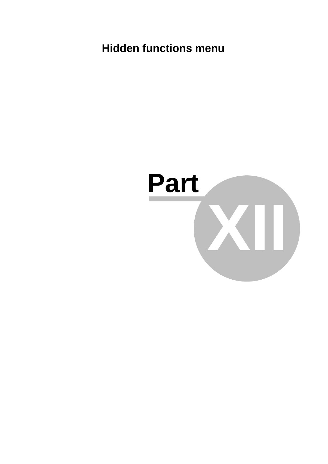### **Hidden functions menu**

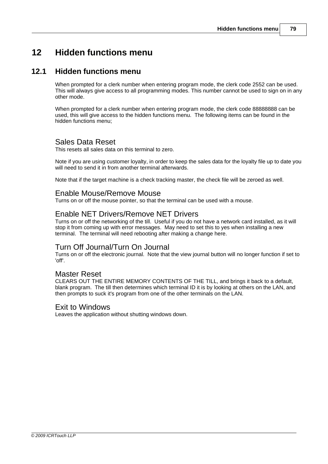### **12 Hidden functions menu**

#### **12.1 Hidden functions menu**

When prompted for a clerk number when entering program mode, the clerk code 2552 can be used. This will always give access to all programming modes. This number cannot be used to sign on in any other mode.

When prompted for a clerk number when entering program mode, the clerk code 88888888 can be used, this will give access to the hidden functions menu. The following items can be found in the hidden functions menu;

#### Sales Data Reset

This resets all sales data on this terminal to zero.

Note if you are using customer loyalty, in order to keep the sales data for the loyalty file up to date you will need to send it in from another terminal afterwards.

Note that if the target machine is a check tracking master, the check file will be zeroed as well.

#### Enable Mouse/Remove Mouse

Turns on or off the mouse pointer, so that the terminal can be used with a mouse.

#### Enable NET Drivers/Remove NET Drivers

Turns on or off the networking of the till. Useful if you do not have a network card installed, as it will stop it from coming up with error messages. May need to set this to yes when installing a new terminal. The terminal will need rebooting after making a change here.

#### Turn Off Journal/Turn On Journal

Turns on or off the electronic journal. Note that the view journal button will no longer function if set to 'off'.

#### Master Reset

CLEARS OUT THE ENTIRE MEMORY CONTENTS OF THE TILL, and brings it back to a default, blank program. The till then determines which terminal ID it is by looking at others on the LAN, and then prompts to suck it's program from one of the other terminals on the LAN.

#### Exit to Windows

Leaves the application without shutting windows down.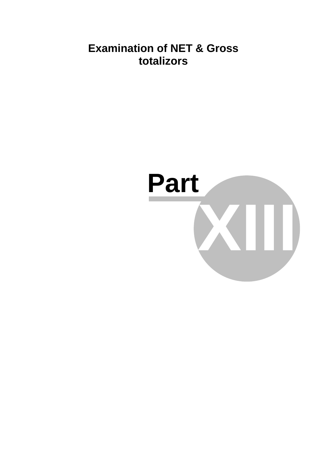### **Examination of NET & Gross totalizors**

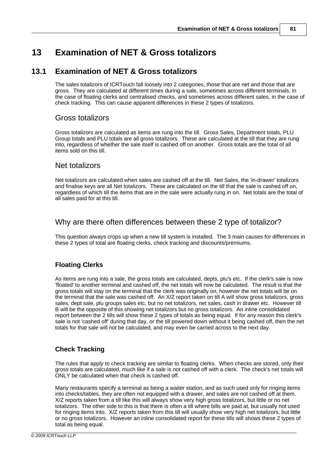### **13 Examination of NET & Gross totalizors**

#### **13.1 Examination of NET & Gross totalizors**

The sales totalizors of ICRTouch fall loosely into 2 categories, those that are net and those that are gross. They are calculated at different times during a sale, sometimes across different terminals, in the case of floating clerks and centralised checks, and sometimes across different sales, in the case of check tracking. This can cause apparent differences in these 2 types of totalizors.

#### Gross totalizors

Gross totalizors are calculated as items are rung into the till. Gross Sales, Department totals, PLU Group totals and PLU totals are all gross totalizors. These are calculated at the till that they are rung into, regardless of whether the sale itself is cashed off on another. Gross totals are the total of all items sold on this till.

#### Net totalizors

Net totalizors are calculated when sales are cashed off at the till. Net Sales, the 'in-drawer' totalizors and finalise keys are all Net totalizors. These are calculated on the till that the sale is cashed off on, regardless of which till the items that are in the sale were actually rung in on. Net totals are the total of all sales paid for at this till.

#### Why are there often differences between these 2 type of totalizor?

This question always crops up when a new till system is installed. The 3 main causes for differences in these 2 types of total are floating clerks, check tracking and discounts/premiums.

#### **Floating Clerks**

As items are rung into a sale, the gross totals are calculated, depts, plu's etc. If the clerk's sale is now 'floated' to another terminal and cashed off, the net totals will now be calculated. The result is that the gross totals will stay on the terminal that the clerk was originally on, however the net totals will be on the terminal that the sale was cashed off. An X/Z report taken on till A will show gross totalizors, gross sales, dept sale, plu groups sales etc, but no net totalizors, net sales, cash in drawer etc. However till B will be the opposite of this showing net totalizors but no gross totalizors. An inline consolidated report between the 2 tills will show these 2 types of totals as being equal. If for any reason this clerk's sale is not 'cashed off' during that day, or the till powered down without it being cashed off, then the net totals for that sale will not be calculated, and may even be carried across to the next day.

#### **Check Tracking**

The rules that apply to check tracking are similar to floating clerks. When checks are stored, only their gross totals are calculated, much like if a sale is not cashed off with a clerk. The check's net totals will ONLY be calculated when that check is cashed off.

Many restaurants specify a terminal as being a waiter station, and as such used only for ringing items into checks/tables, they are often not equipped with a drawer, and sales are not cashed off at them. X/Z reports taken from a till like this will always show very high gross totalizors, but little or no net totalizors. The other side to this is that there is often a till where bills are paid at, but usually not used for ringing items into. X/Z reports taken from this till will usually show very high net totalizors, but little or no gross totalizors. However an inline consolidated report for these tills will shows these 2 types of total as being equal.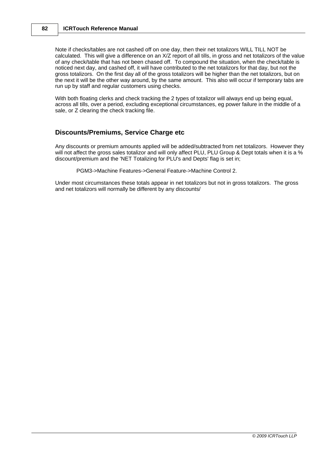#### **82 ICRTouch Reference Manual**

Note if checks/tables are not cashed off on one day, then their net totalizors WILL TILL NOT be calculated. This will give a difference on an X/Z report of all tills, in gross and net totalizors of the value of any check/table that has not been chased off. To compound the situation, when the check/table is noticed next day, and cashed off, it will have contributed to the net totalizors for that day, but not the gross totalizors. On the first day all of the gross totalizors will be higher than the net totalizors, but on the next it will be the other way around, by the same amount. This also will occur if temporary tabs are run up by staff and regular customers using checks.

With both floating clerks and check tracking the 2 types of totalizor will always end up being equal, across all tills, over a period, excluding exceptional circumstances, eg power failure in the middle of a sale, or Z clearing the check tracking file.

#### **Discounts/Premiums, Service Charge etc**

Any discounts or premium amounts applied will be added/subtracted from net totalizors. However they will not affect the gross sales totalizor and will only affect PLU, PLU Group & Dept totals when it is a % discount/premium and the 'NET Totalizing for PLU's and Depts' flag is set in;

PGM3->Machine Features->General Feature->Machine Control 2.

Under most circumstances these totals appear in net totalizors but not in gross totalizors. The gross and net totalizors will normally be different by any discounts/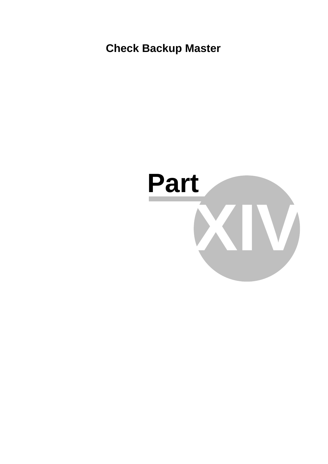**Check Backup Master**

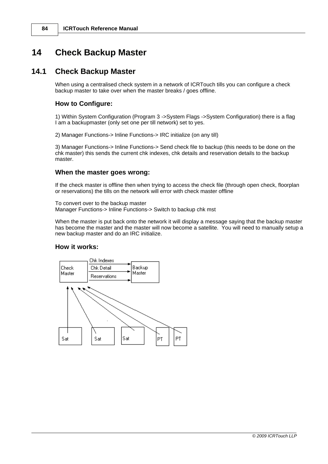### **14 Check Backup Master**

#### **14.1 Check Backup Master**

When using a centralised check system in a network of ICRTouch tills you can configure a check backup master to take over when the master breaks / goes offline.

#### **How to Configure:**

1) Within System Configuration (Program 3 ->System Flags ->System Configuration) there is a flag I am a backupmaster (only set one per till network) set to yes.

2) Manager Functions-> Inline Functions-> IRC initialize (on any till)

3) Manager Functions-> Inline Functions-> Send check file to backup (this needs to be done on the chk master) this sends the current chk indexes, chk details and reservation details to the backup master.

#### **When the master goes wrong:**

If the check master is offline then when trying to access the check file (through open check, floorplan or reservations) the tills on the network will error with check master offline

To convert over to the backup master Manager Functions-> Inline Functions-> Switch to backup chk mst

When the master is put back onto the network it will display a message saying that the backup master has become the master and the master will now become a satellite. You will need to manually setup a new backup master and do an IRC initialize.

#### **How it works:**

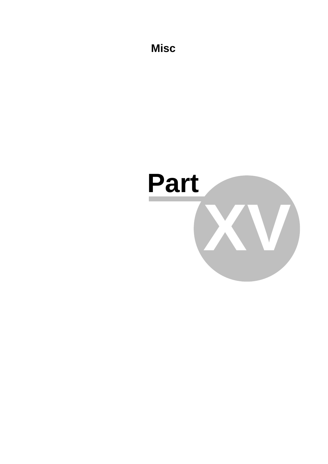**Misc**

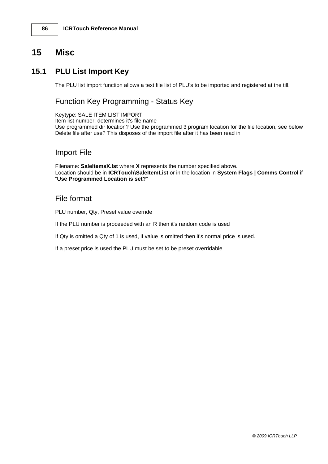#### **86 ICRTouch Reference Manual**

### **15 Misc**

### **15.1 PLU List Import Key**

The PLU list import function allows a text file list of PLU's to be imported and registered at the till.

#### Function Key Programming - Status Key

Keytype: SALE ITEM LIST IMPORT Item list number: determines it's file name Use programmed dir location? Use the programmed 3 program location for the file location, see below Delete file after use? This disposes of the import file after it has been read in

#### Import File

Filename: **SaleItemsX.lst** where **X** represents the number specified above. Location should be in **ICRTouch\SaleItemList** or in the location in **System Flags | Comms Control** if "**Use Programmed Location is set?**"

#### File format

PLU number, Qty, Preset value override

If the PLU number is proceeded with an R then it's random code is used

If Qty is omitted a Qty of 1 is used, if value is omitted then it's normal price is used.

If a preset price is used the PLU must be set to be preset overridable

*© 2009 ICRTouch LLP*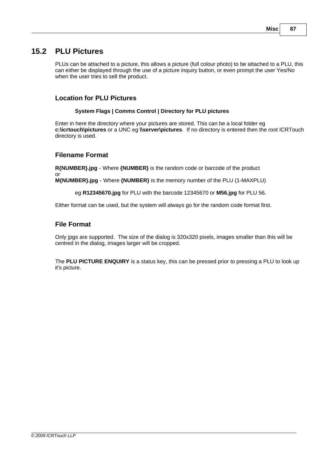### **15.2 PLU Pictures**

PLUs can be attached to a picture, this allows a picture (full colour photo) to be attached to a PLU, this can either be displayed through the use of a picture inquiry button, or even prompt the user Yes/No when the user tries to sell the product.

#### **Location for PLU Pictures**

#### **System Flags | Comms Control | Directory for PLU pictures**

Enter in here the directory where your pictures are stored. This can be a local folder eg **c:\icrtouch\pictures** or a UNC eg **\\server\pictures**. If no directory is entered then the root ICRTouch directory is used.

#### **Filename Format**

**R{NUMBER}.jpg** - Where **{NUMBER}** is the random code or barcode of the product or

**M{NUMBER}.jpg** - Where **{NUMBER}** is the memory number of the PLU (1-MAXPLU)

eg **R12345670.jpg** for PLU with the barcode 12345670 or **M56.jpg** for PLU 56.

Either format can be used, but the system will always go for the random code format first.

#### **File Format**

Only jpgs are supported. The size of the dialog is 320x320 pixels, images smaller than this will be centred in the dialog, images larger will be cropped.

The **PLU PICTURE ENQUIRY** is a status key, this can be pressed prior to pressing a PLU to look up it's picture.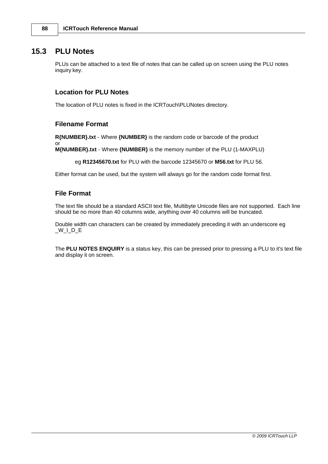#### **15.3 PLU Notes**

or

PLUs can be attached to a text file of notes that can be called up on screen using the PLU notes inquiry key.

#### **Location for PLU Notes**

The location of PLU notes is fixed in the ICRTouch\PLUNotes directory.

#### **Filename Format**

**R{NUMBER}.txt** - Where **{NUMBER}** is the random code or barcode of the product

**M{NUMBER}.txt** - Where **{NUMBER}** is the memory number of the PLU (1-MAXPLU)

eg **R12345670.txt** for PLU with the barcode 12345670 or **M56.txt** for PLU 56.

Either format can be used, but the system will always go for the random code format first.

#### **File Format**

The text file should be a standard ASCII text file, Multibyte Unicode files are not supported. Each line should be no more than 40 columns wide, anything over 40 columns will be truncated.

Double width can characters can be created by immediately preceding it with an underscore eg  $_W\_$ D $_E$ 

The **PLU NOTES ENQUIRY** is a status key, this can be pressed prior to pressing a PLU to it's text file and display it on screen.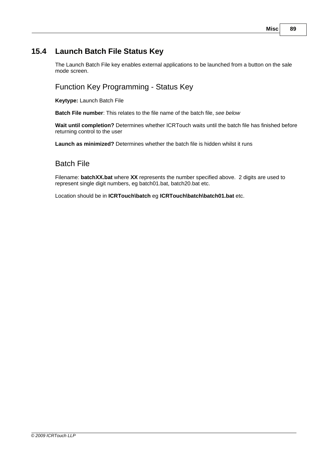#### **Misc 89**

### **15.4 Launch Batch File Status Key**

The Launch Batch File key enables external applications to be launched from a button on the sale mode screen.

### Function Key Programming - Status Key

**Keytype:** Launch Batch File

**Batch File number**: This relates to the file name of the batch file, *see below*

**Wait until completion?** Determines whether ICRTouch waits until the batch file has finished before returning control to the user

**Launch as minimized?** Determines whether the batch file is hidden whilst it runs

### Batch File

Filename: **batchXX.bat** where **XX** represents the number specified above. 2 digits are used to represent single digit numbers, eg batch01.bat, batch20.bat etc.

Location should be in **ICRTouch\batch** eg **ICRTouch\batch\batch01.bat** etc.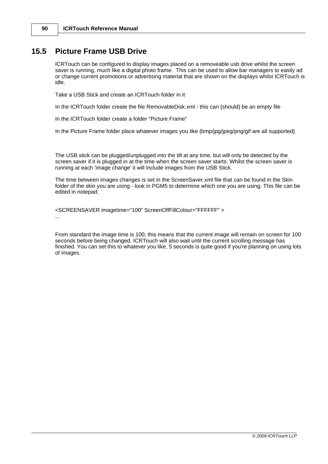### **15.5 Picture Frame USB Drive**

ICRTouch can be configured to display images placed on a removeable usb drive whilst the screen saver is running, much like a digital photo frame. This can be used to allow bar managers to easily ad or change current promotions or advertising material that are shown on the displays whilst ICRTouch is idle.

Take a USB Stick and create an ICRTouch folder in it

In the ICRTouch folder create the file RemovableDisk.xml - this can {should} be an empty file

In the ICRTouch folder create a folder "Picture Frame"

In the Picture Frame folder place whatever images you like {bmp/jpg/jpeg/png/gif are all supported}

The USB stick can be plugged/unplugged into the till at any time, but will only be detected by the screen saver if it is plugged in at the time when the screen saver starts. Whilst the screen saver is running at each 'image change' it will include images from the USB Stick.

The time between images changes is set in the ScreenSaver.xml file that can be found in the Skin folder of the skin you are using - look in PGM5 to determine which one you are using. This file can be edited in notepad;

<SCREENSAVER imagetime="100" ScreenOffFillColour="FFFFFF" > ...

From standard the image time is 100, this means that the current image will remain on screen for 100 seconds before being changed. ICRTouch will also wait until the current scrolling message has finished. You can set this to whatever you like, 5 seconds is quite good if you're planning on using lots of images.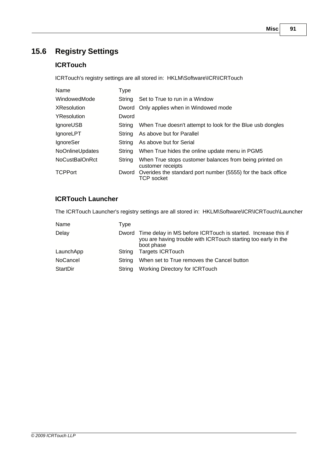### **15.6 Registry Settings**

#### **ICRTouch**

ICRTouch's registry settings are all stored in: HKLM\Software\ICR\ICRTouch

| Name               | <b>Type</b> |                                                                              |
|--------------------|-------------|------------------------------------------------------------------------------|
| WindowedMode       | String      | Set to True to run in a Window                                               |
| <b>XResolution</b> |             | Dword Only applies when in Windowed mode                                     |
| YResolution        | Dword       |                                                                              |
| <b>IgnoreUSB</b>   | String      | When True doesn't attempt to look for the Blue usb dongles                   |
| <b>IgnoreLPT</b>   | String      | As above but for Parallel                                                    |
| <b>IgnoreSer</b>   | String      | As above but for Serial                                                      |
| NoOnlineUpdates    | String      | When True hides the online update menu in PGM5                               |
| NoCustBalOnRct     | String      | When True stops customer balances from being printed on<br>customer receipts |
| <b>TCPPort</b>     | Dword       | Overides the standard port number (5555) for the back office<br>TCP socket   |

#### **ICRTouch Launcher**

The ICRTouch Launcher's registry settings are all stored in: HKLM\Software\ICR\ICRTouch\Launcher

| Name            | Type   |                                                                                                                                                      |
|-----------------|--------|------------------------------------------------------------------------------------------------------------------------------------------------------|
| Delay           |        | Dword Time delay in MS before ICRTouch is started. Increase this if<br>you are having trouble with ICRT ouch starting too early in the<br>boot phase |
| LaunchApp       | String | <b>Targets ICRTouch</b>                                                                                                                              |
| <b>NoCancel</b> | String | When set to True removes the Cancel button                                                                                                           |
| StartDir        | String | <b>Working Directory for ICRTouch</b>                                                                                                                |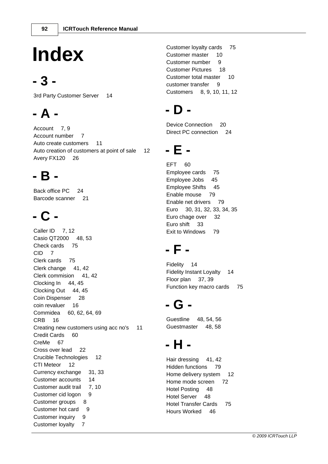# **Index**

### **- 3 -**

3rd Party Customer Server 14

## **- A -**

Account 7, 9 Account number 7 Auto create customers 11 Auto creation of customers at point of sale 12 Avery FX120 26

### **- B -**

Back office PC 24 Barcode scanner 21

## **- C -**

Caller ID 7, 12 Casio QT2000 48, 53 Check cards 75 CID 7 Clerk cards 75 Clerk change 41, 42 Clerk commision 41, 42 Clocking In 44, 45 Clocking Out 44, 45 Coin Dispenser 28 coin revaluer 16 Commidea 60, 62, 64, 69 CRB 16 Creating new customers using acc no's 11 Credit Cards 60 CreMe 67 Cross over lead 22 Crucible Technologies 12 CTI Meteor 12 Currency exchange 31, 33 Customer accounts 14 Customer audit trail 7, 10 Customer cid logon 9 Customer groups 8 Customer hot card 9 Customer inquiry 9 Customer loyalty 7

Customer loyalty cards 75 Customer master 10 Customer number 9 Customer Pictures 18 Customer total master 10 customer transfer 9 Customers 8, 9, 10, 11, 12

### **- D -**

Device Connection 20 Direct PC connection 24

### **- E -**

EFT 60 Employee cards 75 Employee Jobs 45 Employee Shifts 45 Enable mouse 79 Enable net drivers 79 Euro 30, 31, 32, 33, 34, 35 Euro chage over 32 Euro shift 33 Exit to Windows 79

## **- F -**

Fidelity 14 Fidelity Instant Loyalty 14 Floor plan 37, 39 Function key macro cards 75

## **- G -**

Guestline 48, 54, 56 Guestmaster 48, 58

## **- H -**

Hair dressing 41, 42 Hidden functions 79 Home delivery system 12 Home mode screen 72 Hotel Posting 48 Hotel Server 48 Hotel Transfer Cards 75 Hours Worked 46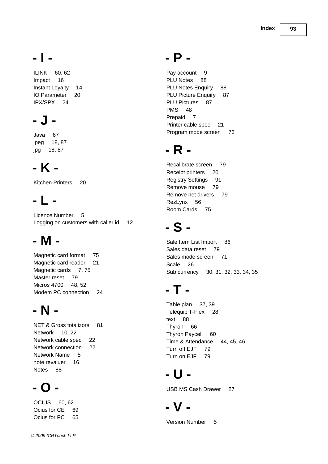## **- I -**

ILINK 60, 62 Impact 16 Instant Loyalty 14 IO Parameter 20 IPX/SPX 24

## **- J -**

Java 67 jpeg 18, 87 jpg 18, 87

## **- K -**

Kitchen Printers 20

## **- L -**

Licence Number 5 Logging on customers with caller id 12

## **- M -**

Magnetic card format 75 Magnetic card reader 21 Magnetic cards 7, 75 Master reset 79 Micros 4700 48, 52 Modem PC connection 24

## **- N -**

NET & Gross totalizors 81 Network 10, 22 Network cable spec 22 Network connection 22 Network Name 5 note revaluer 16 Notes 88

## **- O -**

OCIUS 60, 62 Ocius for CE 69 Ocius for PC 65

### **- P -**

Pay account 9 PLU Notes 88 PLU Notes Enquiry 88 PLU Picture Enquiry 87 PLU Pictures 87 PMS<sub>48</sub> Prepaid 7 Printer cable spec 21 Program mode screen 73

## **- R -**

Recalibrate screen 79 Receipt printers 20 Registry Settings 91 Remove mouse 79 Remove net drivers 79 RezLynx 56 Room Cards 75

## **- S -**

Sale Item List Import 86 Sales data reset 79 Sales mode screen 71 Scale 26 Sub currency 30, 31, 32, 33, 34, 35

## **- T -**

Table plan 37, 39 Telequip T-Flex 28 text 88 Thyron 66 Thyron Paycell 60 Time & Attendance 44, 45, 46 Turn off EJF 79 Turn on EJF 79

## **- U -**

USB MS Cash Drawer 27

## **- V -**

Version Number 5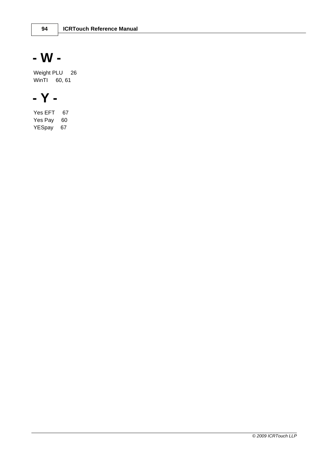## **- W -**

Weight PLU 26 WinTI 60, 61

## **- Y -**

Yes EFT 67 Yes Pay 60 YESpay 67